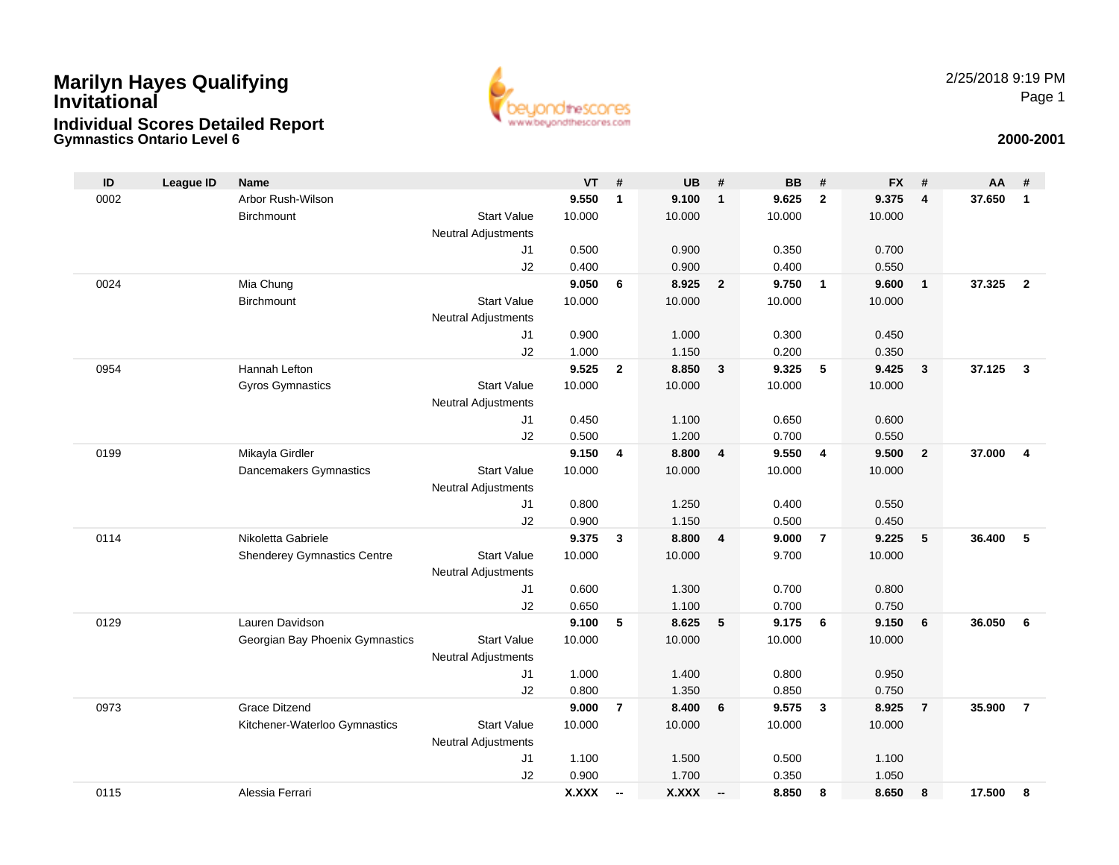### **Gymnastics Ontario Level 6 2000-2001 Marilyn Hayes Qualifying InvitationalIndividual Scores Detailed Report**



| ID   | League ID | <b>Name</b>                        |                            | $VT$ #         |                          | <b>UB</b>      | #                        | <b>BB</b>      | #              | <b>FX</b>      | #              | AA     | #              |
|------|-----------|------------------------------------|----------------------------|----------------|--------------------------|----------------|--------------------------|----------------|----------------|----------------|----------------|--------|----------------|
| 0002 |           | Arbor Rush-Wilson                  |                            | 9.550          | $\mathbf{1}$             | 9.100          | $\mathbf{1}$             | 9.625          | $\overline{2}$ | 9.375          | $\overline{4}$ | 37.650 | $\mathbf{1}$   |
|      |           | <b>Birchmount</b>                  | <b>Start Value</b>         | 10.000         |                          | 10.000         |                          | 10.000         |                | 10.000         |                |        |                |
|      |           |                                    | <b>Neutral Adjustments</b> |                |                          |                |                          |                |                |                |                |        |                |
|      |           |                                    | J1                         | 0.500          |                          | 0.900          |                          | 0.350          |                | 0.700          |                |        |                |
|      |           |                                    | J2                         | 0.400          |                          | 0.900          |                          | 0.400          |                | 0.550          |                |        |                |
| 0024 |           | Mia Chung                          |                            | 9.050          | 6                        | 8.925          | $\mathbf{2}$             | 9.750          | $\mathbf{1}$   | 9.600          | $\overline{1}$ | 37.325 | $\overline{2}$ |
|      |           | Birchmount                         | <b>Start Value</b>         | 10.000         |                          | 10.000         |                          | 10.000         |                | 10.000         |                |        |                |
|      |           |                                    | Neutral Adjustments        |                |                          |                |                          |                |                |                |                |        |                |
|      |           |                                    | J1                         | 0.900          |                          | 1.000          |                          | 0.300          |                | 0.450          |                |        |                |
|      |           |                                    | J2                         | 1.000          |                          | 1.150          |                          | 0.200          |                | 0.350          |                |        |                |
| 0954 |           | Hannah Lefton                      |                            | 9.525          | $\mathbf{2}$             | 8.850          | 3                        | 9.325          | 5              | 9.425          | $\mathbf{3}$   | 37.125 | $\mathbf{3}$   |
|      |           | <b>Gyros Gymnastics</b>            | <b>Start Value</b>         | 10.000         |                          | 10.000         |                          | 10.000         |                | 10.000         |                |        |                |
|      |           |                                    | Neutral Adjustments        |                |                          |                |                          |                |                |                |                |        |                |
|      |           |                                    | J1                         | 0.450          |                          | 1.100          |                          | 0.650          |                | 0.600          |                |        |                |
|      |           |                                    | J2                         | 0.500          |                          | 1.200          |                          | 0.700          |                | 0.550          |                |        |                |
| 0199 |           | Mikayla Girdler                    |                            | 9.150          | 4                        | 8.800          | 4                        | 9.550          | $\overline{4}$ | 9.500          | $\overline{2}$ | 37.000 | $\overline{4}$ |
|      |           | Dancemakers Gymnastics             | <b>Start Value</b>         | 10.000         |                          | 10.000         |                          | 10.000         |                | 10.000         |                |        |                |
|      |           |                                    | Neutral Adjustments        |                |                          |                |                          |                |                |                |                |        |                |
|      |           |                                    | J1                         | 0.800          |                          | 1.250          |                          | 0.400          |                | 0.550          |                |        |                |
| 0114 |           | Nikoletta Gabriele                 | J2                         | 0.900<br>9.375 |                          | 1.150<br>8.800 | 4                        | 0.500<br>9.000 | $\overline{7}$ | 0.450<br>9.225 | 5              | 36.400 | 5              |
|      |           | <b>Shenderey Gymnastics Centre</b> | <b>Start Value</b>         | 10.000         | 3                        | 10.000         |                          | 9.700          |                | 10.000         |                |        |                |
|      |           |                                    | Neutral Adjustments        |                |                          |                |                          |                |                |                |                |        |                |
|      |           |                                    | J1                         | 0.600          |                          | 1.300          |                          | 0.700          |                | 0.800          |                |        |                |
|      |           |                                    | J2                         | 0.650          |                          | 1.100          |                          | 0.700          |                | 0.750          |                |        |                |
| 0129 |           | Lauren Davidson                    |                            | 9.100          | 5                        | 8.625          | 5                        | 9.175          | 6              | 9.150          | 6              | 36.050 | 6              |
|      |           | Georgian Bay Phoenix Gymnastics    | <b>Start Value</b>         | 10.000         |                          | 10.000         |                          | 10.000         |                | 10.000         |                |        |                |
|      |           |                                    | Neutral Adjustments        |                |                          |                |                          |                |                |                |                |        |                |
|      |           |                                    | J1                         | 1.000          |                          | 1.400          |                          | 0.800          |                | 0.950          |                |        |                |
|      |           |                                    | J2                         | 0.800          |                          | 1.350          |                          | 0.850          |                | 0.750          |                |        |                |
| 0973 |           | <b>Grace Ditzend</b>               |                            | 9.000          | $\overline{7}$           | 8.400          | 6                        | 9.575          | $\mathbf{3}$   | 8.925          | $\overline{7}$ | 35.900 | $\overline{7}$ |
|      |           | Kitchener-Waterloo Gymnastics      | <b>Start Value</b>         | 10.000         |                          | 10.000         |                          | 10.000         |                | 10.000         |                |        |                |
|      |           |                                    | <b>Neutral Adjustments</b> |                |                          |                |                          |                |                |                |                |        |                |
|      |           |                                    | J1                         | 1.100          |                          | 1.500          |                          | 0.500          |                | 1.100          |                |        |                |
|      |           |                                    | J2                         | 0.900          |                          | 1.700          |                          | 0.350          |                | 1.050          |                |        |                |
| 0115 |           | Alessia Ferrari                    |                            | <b>X.XXX</b>   | $\overline{\phantom{a}}$ | X.XXX          | $\overline{\phantom{a}}$ | 8.850          | 8              | 8.650          | 8              | 17.500 | 8              |
|      |           |                                    |                            |                |                          |                |                          |                |                |                |                |        |                |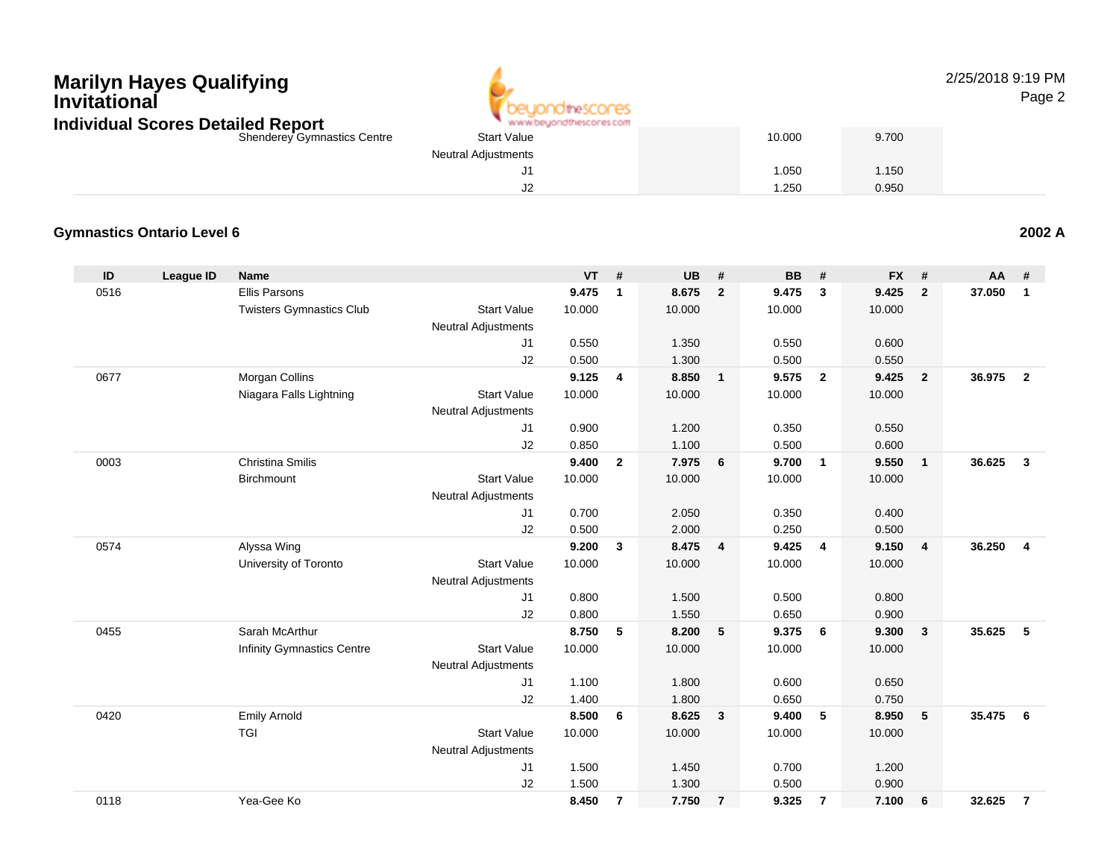

2/25/2018 9:19 PMPage 2

| Shenderey Gymnastics Centre | <b>Start Value</b>         | 10.000 | 9.700 |
|-----------------------------|----------------------------|--------|-------|
|                             | <b>Neutral Adjustments</b> |        |       |
|                             | J1                         | 1.050  | 1.150 |
|                             | J2                         | 1.250  | 0.950 |
|                             |                            |        |       |

#### **Gymnastics Ontario Level 6**

| ID   | League ID | Name                              |                            | VT     | #              | <b>UB</b> | #                       | BB     | #              | <b>FX</b> | #              | <b>AA</b> | #                       |
|------|-----------|-----------------------------------|----------------------------|--------|----------------|-----------|-------------------------|--------|----------------|-----------|----------------|-----------|-------------------------|
| 0516 |           | <b>Ellis Parsons</b>              |                            | 9.475  | $\mathbf{1}$   | 8.675     | $\overline{2}$          | 9.475  | $\mathbf{3}$   | 9.425     | $\mathbf{2}$   | 37.050    | $\mathbf{1}$            |
|      |           | <b>Twisters Gymnastics Club</b>   | <b>Start Value</b>         | 10.000 |                | 10.000    |                         | 10.000 |                | 10.000    |                |           |                         |
|      |           |                                   | <b>Neutral Adjustments</b> |        |                |           |                         |        |                |           |                |           |                         |
|      |           |                                   | J1                         | 0.550  |                | 1.350     |                         | 0.550  |                | 0.600     |                |           |                         |
|      |           |                                   | J2                         | 0.500  |                | 1.300     |                         | 0.500  |                | 0.550     |                |           |                         |
| 0677 |           | Morgan Collins                    |                            | 9.125  | 4              | 8.850     | $\overline{1}$          | 9.575  | $\overline{2}$ | 9.425     | $\overline{2}$ | 36.975    | $\overline{2}$          |
|      |           | Niagara Falls Lightning           | <b>Start Value</b>         | 10.000 |                | 10.000    |                         | 10.000 |                | 10.000    |                |           |                         |
|      |           |                                   | <b>Neutral Adjustments</b> |        |                |           |                         |        |                |           |                |           |                         |
|      |           |                                   | J1                         | 0.900  |                | 1.200     |                         | 0.350  |                | 0.550     |                |           |                         |
|      |           |                                   | J2                         | 0.850  |                | 1.100     |                         | 0.500  |                | 0.600     |                |           |                         |
| 0003 |           | Christina Smilis                  |                            | 9.400  | $\mathbf{2}$   | 7.975     | $6\phantom{1}6$         | 9.700  | $\overline{1}$ | 9.550     | $\mathbf{1}$   | 36.625    | $\mathbf{3}$            |
|      |           | Birchmount                        | <b>Start Value</b>         | 10.000 |                | 10.000    |                         | 10.000 |                | 10.000    |                |           |                         |
|      |           |                                   | Neutral Adjustments        |        |                |           |                         |        |                |           |                |           |                         |
|      |           |                                   | J1                         | 0.700  |                | 2.050     |                         | 0.350  |                | 0.400     |                |           |                         |
|      |           |                                   | J2                         | 0.500  |                | 2.000     |                         | 0.250  |                | 0.500     |                |           |                         |
| 0574 |           | Alyssa Wing                       |                            | 9.200  | $\mathbf{3}$   | 8.475     | $\overline{\mathbf{4}}$ | 9.425  | $\overline{4}$ | 9.150     | 4              | 36.250    | $\overline{\mathbf{4}}$ |
|      |           | University of Toronto             | <b>Start Value</b>         | 10.000 |                | 10.000    |                         | 10.000 |                | 10.000    |                |           |                         |
|      |           |                                   | <b>Neutral Adjustments</b> |        |                |           |                         |        |                |           |                |           |                         |
|      |           |                                   | J1                         | 0.800  |                | 1.500     |                         | 0.500  |                | 0.800     |                |           |                         |
|      |           |                                   | J2                         | 0.800  |                | 1.550     |                         | 0.650  |                | 0.900     |                |           |                         |
| 0455 |           | Sarah McArthur                    |                            | 8.750  | 5              | 8.200     | - 5                     | 9.375  | - 6            | 9.300     | 3              | 35.625    | 5                       |
|      |           | <b>Infinity Gymnastics Centre</b> | <b>Start Value</b>         | 10.000 |                | 10.000    |                         | 10.000 |                | 10.000    |                |           |                         |
|      |           |                                   | <b>Neutral Adjustments</b> |        |                |           |                         |        |                |           |                |           |                         |
|      |           |                                   | J1                         | 1.100  |                | 1.800     |                         | 0.600  |                | 0.650     |                |           |                         |
|      |           |                                   | J2                         | 1.400  |                | 1.800     |                         | 0.650  |                | 0.750     |                |           |                         |
| 0420 |           | <b>Emily Arnold</b>               |                            | 8.500  | 6              | 8.625     | $\overline{\mathbf{3}}$ | 9.400  | 5              | 8.950     | 5              | 35.475    | 6                       |
|      |           | <b>TGI</b>                        | <b>Start Value</b>         | 10.000 |                | 10.000    |                         | 10.000 |                | 10.000    |                |           |                         |
|      |           |                                   | Neutral Adjustments        |        |                |           |                         |        |                |           |                |           |                         |
|      |           |                                   | J1                         | 1.500  |                | 1.450     |                         | 0.700  |                | 1.200     |                |           |                         |
|      |           |                                   | J2                         | 1.500  |                | 1.300     |                         | 0.500  |                | 0.900     |                |           |                         |
| 0118 |           | Yea-Gee Ko                        |                            | 8.450  | $\overline{7}$ | 7.750     | $\overline{7}$          | 9.325  | $\overline{7}$ | 7.100     | 6              | 32.625    | $\overline{7}$          |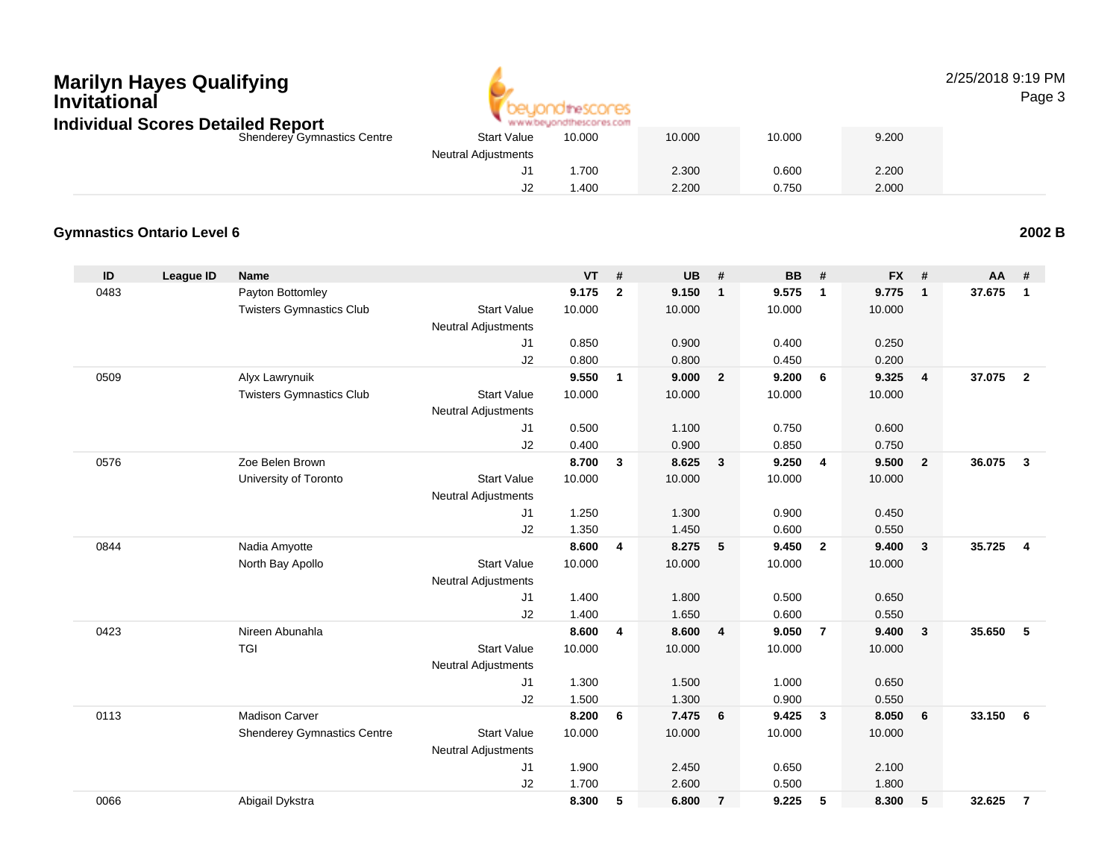## **Marilyn Hayes QualifyingInvitational**



#### 2/25/2018 9:19 PMPage 3

| <b>Individual Scores Detailed Report</b> |                            | www.beyondthescores.com |        |        |       |  |
|------------------------------------------|----------------------------|-------------------------|--------|--------|-------|--|
| <b>Shenderey Gymnastics Centre</b>       | <b>Start Value</b>         | 10.000                  | 10.000 | 10.000 | 9.200 |  |
|                                          | <b>Neutral Adjustments</b> |                         |        |        |       |  |
|                                          |                            | .700                    | 2.300  | 0.600  | 2.200 |  |
|                                          |                            | .400                    | 2.200  | 0.750  | 2.000 |  |

#### **Gymnastics Ontario Level 6**

**ID League ID Name VT # UB # BB # FX # AA #** 0483 Payton Bottomley **9.175 <sup>2</sup> 9.150 <sup>1</sup> 9.575 <sup>1</sup> 9.775 <sup>1</sup> 37.675 <sup>1</sup>** Twisters Gymnastics Clubb 3tart Value 10.000 10.000 10.000 10.000 10.000 Neutral Adjustments J1 0.850 0.900 0.400 0.250 J2 0.800 0.800 0.450 0.200 0509 Alyx Lawrynuik **9.550 <sup>1</sup> 9.000 <sup>2</sup> 9.200 <sup>6</sup> 9.325 <sup>4</sup> 37.075 <sup>2</sup>** Twisters Gymnastics Clubb 3tart Value 10.000 10.000 10.000 10.000 10.000 Neutral Adjustments J1 0.500 1.100 0.750 0.600 J2 0.400 0.900 0.850 0.750 0576 Zoe Belen Brown **8.700 <sup>3</sup> 8.625 <sup>3</sup> 9.250 <sup>4</sup> 9.500 <sup>2</sup> 36.075 <sup>3</sup>** University of Toronto Start Value 10.000 10.000 10.000 10.000 Neutral Adjustments J1 1.250 1.300 0.900 0.450 J2 1.350 1.450 0.600 0.550 0844 Nadia Amyotte **8.600 <sup>4</sup> 8.275 <sup>5</sup> 9.450 <sup>2</sup> 9.400 <sup>3</sup> 35.725 <sup>4</sup>** North Bay Apollo Start Value 10.000 10.000 10.000 10.000 Neutral Adjustments J1 1.400 1.800 0.500 0.650 J2 1.400 1.650 0.600 0.550 0423 Nireen Abunahla **8.600 <sup>4</sup> 8.600 <sup>4</sup> 9.050 <sup>7</sup> 9.400 <sup>3</sup> 35.650 <sup>5</sup>** TGI Start Valuee 10.000 10.000 10.000 10.000 Neutral Adjustments J1 1.300 1.500 1.000 0.650 J22 1.500 1.300 0.900 0.550 0113 Madison Carver **8.200 <sup>6</sup> 7.475 <sup>6</sup> 9.425 <sup>3</sup> 8.050 <sup>6</sup> 33.150 <sup>6</sup>** Shenderey Gymnastics Centre Start Value 10.000 10.000 10.000 10.000 Neutral Adjustments J1 1.900 2.450 0.650 2.100 J2 1.700 2.600 0.500 1.800 0066Abigail Dykstra **8.300 <sup>5</sup> 6.800 <sup>7</sup> 9.225 <sup>5</sup> 8.300 <sup>5</sup> 32.625 <sup>7</sup>**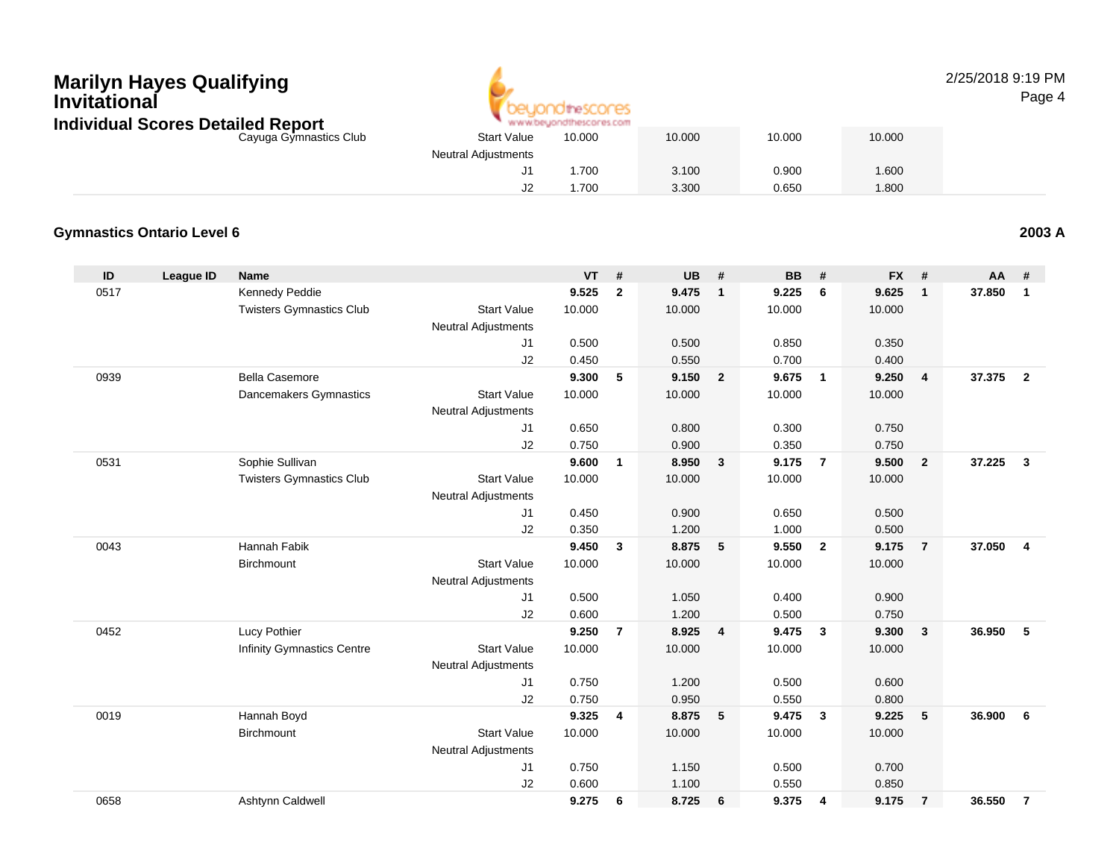

#### 2/25/2018 9:19 PMPage 4

| ndividual Scores Detailed Report |                            | www.beyondthescores.com |        |        |        |  |
|----------------------------------|----------------------------|-------------------------|--------|--------|--------|--|
| Cayuga Gymnastics Club           | <b>Start Value</b>         | 10.000                  | 10.000 | 10.000 | 10.000 |  |
|                                  | <b>Neutral Adjustments</b> |                         |        |        |        |  |
|                                  | J                          | .700                    | 3.100  | 0.900  | .600   |  |
|                                  | JZ                         | .700                    | 3.300  | 0.650  | .800   |  |

#### **Gymnastics Ontario Level 6**

**ID League ID Name VT # UB # BB # FX # AA #** 0517 Kennedy Peddie **9.525 <sup>2</sup> 9.475 <sup>1</sup> 9.225 <sup>6</sup> 9.625 <sup>1</sup> 37.850 <sup>1</sup>** Twisters Gymnastics Clubb 3tart Value 10.000 10.000 10.000 10.000 10.000 Neutral Adjustments J1 0.500 0.500 0.850 0.350 J2 0.450 0.550 0.700 0.400 0939 Bella Casemore **9.300 <sup>5</sup> 9.150 <sup>2</sup> 9.675 <sup>1</sup> 9.250 <sup>4</sup> 37.375 <sup>2</sup>** Dancemakers Gymnastics Start Valuee 10.000 10.000 10.000 10.000 Neutral Adjustments J1 0.650 0.800 0.300 0.750 J2 0.750 0.900 0.350 0.750 0531 Sophie Sullivan **9.600 <sup>1</sup> 8.950 <sup>3</sup> 9.175 <sup>7</sup> 9.500 <sup>2</sup> 37.225 <sup>3</sup>** Twisters Gymnastics Clubb 3tart Value 10.000 10.000 10.000 10.000 10.000 Neutral Adjustments J1 0.450 0.900 0.650 0.500 J22 0.350 1.200 1.000 0.500 0043 Hannah Fabik **9.450 <sup>3</sup> 8.875 <sup>5</sup> 9.550 <sup>2</sup> 9.175 <sup>7</sup> 37.050 <sup>4</sup> Birchmount**  Start Valuee 10.000 10.000 10.000 10.000 Neutral Adjustments J1 0.500 1.050 0.400 0.900 J2 0.600 1.200 0.500 0.750 0452 Lucy Pothier **9.250 <sup>7</sup> 8.925 <sup>4</sup> 9.475 <sup>3</sup> 9.300 <sup>3</sup> 36.950 <sup>5</sup>** Infinity Gymnastics Centre Start Value 10.000 10.000 10.000 10.000 Neutral Adjustments J1 0.750 1.200 0.500 0.600 J2 0.750 0.950 0.550 0.800 0019 Hannah Boyd **9.325 <sup>4</sup> 8.875 <sup>5</sup> 9.475 <sup>3</sup> 9.225 <sup>5</sup> 36.900 <sup>6</sup> Birchmount**  Start Valuee 10.000 10.000 10.000 10.000 Neutral Adjustments J1 0.750 1.150 0.500 0.700 J2 0.600 1.100 0.550 0.850 0658Ashtynn Caldwell **9.275 <sup>6</sup> 8.725 <sup>6</sup> 9.375 <sup>4</sup> 9.175 <sup>7</sup> 36.550 <sup>7</sup>**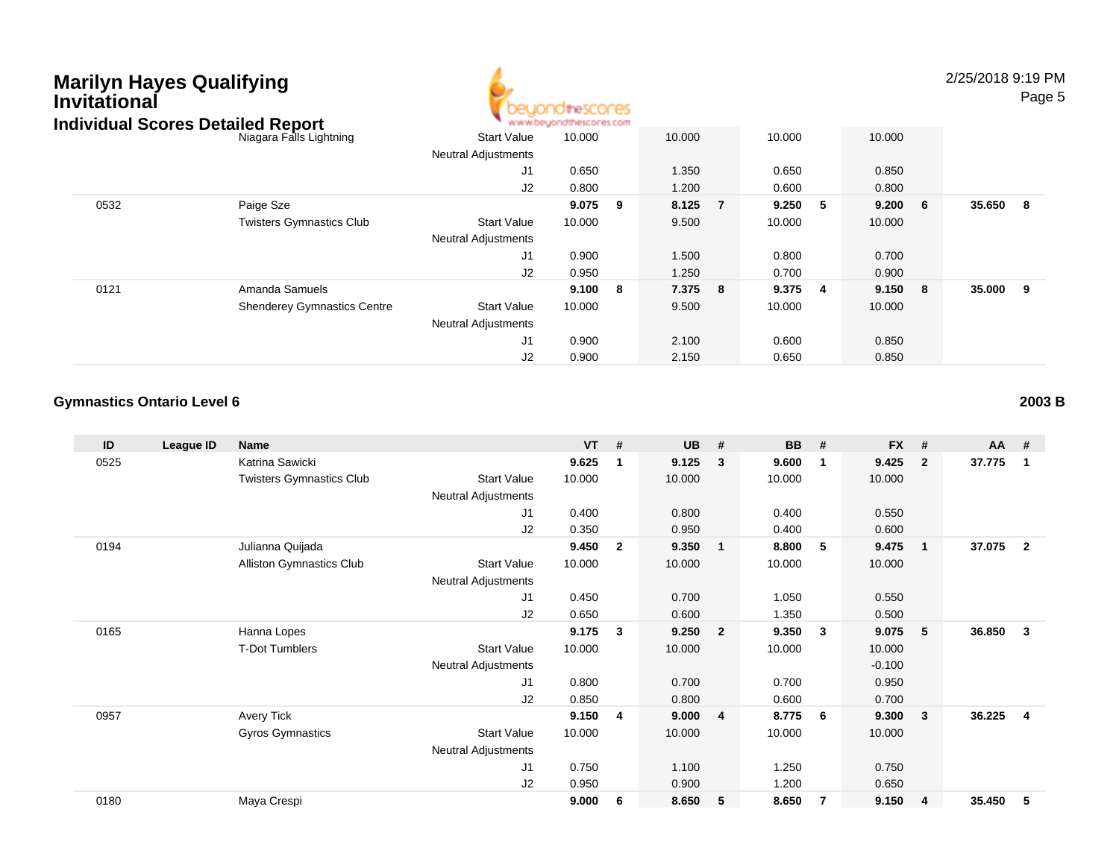

2/25/2018 9:19 PMPage 5

| idividual Scores Detalled Report |                                    |                            | . M.M.M.DB/TOURISCOLB7.COM |    |         |         |    |         |        |     |
|----------------------------------|------------------------------------|----------------------------|----------------------------|----|---------|---------|----|---------|--------|-----|
|                                  | Niagara Falls Lightning            | <b>Start Value</b>         | 10.000                     |    | 10.000  | 10.000  |    | 10.000  |        |     |
|                                  |                                    | <b>Neutral Adjustments</b> |                            |    |         |         |    |         |        |     |
|                                  |                                    | J1                         | 0.650                      |    | 1.350   | 0.650   |    | 0.850   |        |     |
|                                  |                                    | J2                         | 0.800                      |    | 1.200   | 0.600   |    | 0.800   |        |     |
| 0532                             | Paige Sze                          |                            | 9.075                      | 9  | 8.125 7 | 9.250   | -5 | 9.200 6 | 35.650 | - 8 |
|                                  | <b>Twisters Gymnastics Club</b>    | <b>Start Value</b>         | 10.000                     |    | 9.500   | 10.000  |    | 10.000  |        |     |
|                                  |                                    | <b>Neutral Adjustments</b> |                            |    |         |         |    |         |        |     |
|                                  |                                    | J1                         | 0.900                      |    | 1.500   | 0.800   |    | 0.700   |        |     |
|                                  |                                    | J2                         | 0.950                      |    | 1.250   | 0.700   |    | 0.900   |        |     |
| 0121                             | Amanda Samuels                     |                            | 9.100                      | -8 | 7.375 8 | 9.375 4 |    | 9.150 8 | 35.000 | - 9 |
|                                  | <b>Shenderey Gymnastics Centre</b> | <b>Start Value</b>         | 10.000                     |    | 9.500   | 10.000  |    | 10.000  |        |     |
|                                  |                                    | <b>Neutral Adjustments</b> |                            |    |         |         |    |         |        |     |
|                                  |                                    | J1                         | 0.900                      |    | 2.100   | 0.600   |    | 0.850   |        |     |
|                                  |                                    | J2                         | 0.900                      |    | 2.150   | 0.650   |    | 0.850   |        |     |

#### **Gymnastics Ontario Level 6**

| ID   | League ID | <b>Name</b>                     |                            | <b>VT</b> | #            | <b>UB</b> | #              | <b>BB</b> | #            | <b>FX</b> | #              | AA     | #              |
|------|-----------|---------------------------------|----------------------------|-----------|--------------|-----------|----------------|-----------|--------------|-----------|----------------|--------|----------------|
| 0525 |           | Katrina Sawicki                 |                            | 9.625     | 1            | 9.125     | $\mathbf{3}$   | 9.600     | $\mathbf 1$  | 9.425     | $\overline{2}$ | 37.775 | $\overline{1}$ |
|      |           | <b>Twisters Gymnastics Club</b> | <b>Start Value</b>         | 10.000    |              | 10.000    |                | 10.000    |              | 10.000    |                |        |                |
|      |           |                                 | <b>Neutral Adjustments</b> |           |              |           |                |           |              |           |                |        |                |
|      |           |                                 | J1                         | 0.400     |              | 0.800     |                | 0.400     |              | 0.550     |                |        |                |
|      |           |                                 | J2                         | 0.350     |              | 0.950     |                | 0.400     |              | 0.600     |                |        |                |
| 0194 |           | Julianna Quijada                |                            | 9.450     | $\mathbf{2}$ | 9.350     | $\mathbf{1}$   | 8.800     | -5           | 9.475     | $\mathbf{1}$   | 37.075 | $\overline{2}$ |
|      |           | Alliston Gymnastics Club        | <b>Start Value</b>         | 10.000    |              | 10.000    |                | 10.000    |              | 10.000    |                |        |                |
|      |           |                                 | <b>Neutral Adjustments</b> |           |              |           |                |           |              |           |                |        |                |
|      |           |                                 | J <sub>1</sub>             | 0.450     |              | 0.700     |                | 1.050     |              | 0.550     |                |        |                |
|      |           |                                 | J2                         | 0.650     |              | 0.600     |                | 1.350     |              | 0.500     |                |        |                |
| 0165 |           | Hanna Lopes                     |                            | 9.175     | 3            | 9.250     | $\overline{2}$ | 9.350     | $\mathbf{3}$ | 9.075     | 5              | 36.850 | 3              |
|      |           | <b>T-Dot Tumblers</b>           | <b>Start Value</b>         | 10.000    |              | 10.000    |                | 10.000    |              | 10.000    |                |        |                |
|      |           |                                 | Neutral Adjustments        |           |              |           |                |           |              | $-0.100$  |                |        |                |
|      |           |                                 | J1                         | 0.800     |              | 0.700     |                | 0.700     |              | 0.950     |                |        |                |
|      |           |                                 | J2                         | 0.850     |              | 0.800     |                | 0.600     |              | 0.700     |                |        |                |
| 0957 |           | Avery Tick                      |                            | 9.150     | 4            | 9.000     | 4              | 8.775     | 6            | 9.300     | $\mathbf{3}$   | 36.225 | -4             |
|      |           | Gyros Gymnastics                | <b>Start Value</b>         | 10.000    |              | 10.000    |                | 10.000    |              | 10.000    |                |        |                |
|      |           |                                 | <b>Neutral Adjustments</b> |           |              |           |                |           |              |           |                |        |                |
|      |           |                                 | J <sub>1</sub>             | 0.750     |              | 1.100     |                | 1.250     |              | 0.750     |                |        |                |
|      |           |                                 | J <sub>2</sub>             | 0.950     |              | 0.900     |                | 1.200     |              | 0.650     |                |        |                |
| 0180 |           | Maya Crespi                     |                            | 9.000     | 6            | 8.650     | 5              | 8.650     | -7           | 9.150     | $\overline{4}$ | 35.450 | 5              |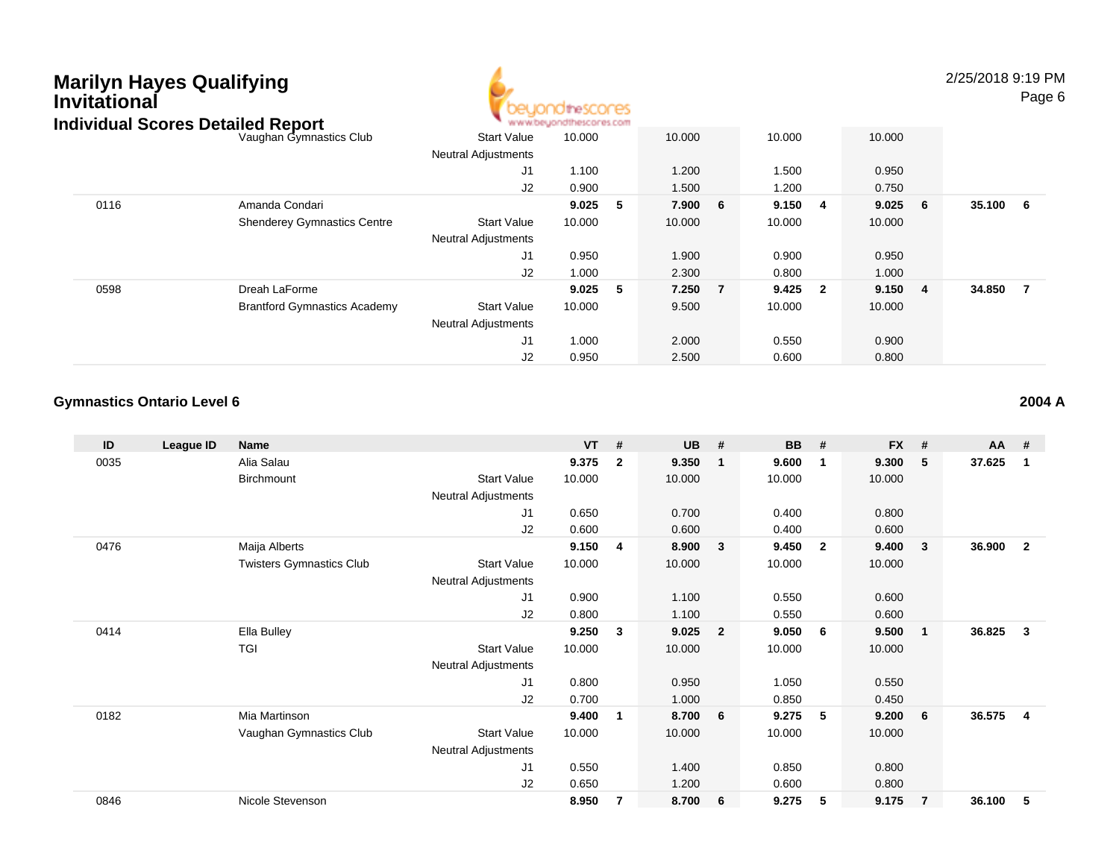

2/25/2018 9:19 PMPage 6

| idividual Scores Detalled Report |                                     |                            | . M.M.M.DB/TOURNOOLB3/COLL |   |         |    |           |           |        |                |
|----------------------------------|-------------------------------------|----------------------------|----------------------------|---|---------|----|-----------|-----------|--------|----------------|
|                                  | Vaughan Gymnastics Club             | <b>Start Value</b>         | 10.000                     |   | 10.000  |    | 10.000    | 10.000    |        |                |
|                                  |                                     | <b>Neutral Adjustments</b> |                            |   |         |    |           |           |        |                |
|                                  |                                     | J1                         | 1.100                      |   | 1.200   |    | 1.500     | 0.950     |        |                |
|                                  |                                     | J <sub>2</sub>             | 0.900                      |   | 1.500   |    | 1.200     | 0.750     |        |                |
| 0116                             | Amanda Condari                      |                            | 9.025                      | 5 | 7.900 6 |    | 9.150 4   | $9.025$ 6 | 35.100 | 6              |
|                                  | <b>Shenderey Gymnastics Centre</b>  | <b>Start Value</b>         | 10.000                     |   | 10.000  |    | 10.000    | 10.000    |        |                |
|                                  |                                     | <b>Neutral Adjustments</b> |                            |   |         |    |           |           |        |                |
|                                  |                                     | J1                         | 0.950                      |   | 1.900   |    | 0.900     | 0.950     |        |                |
|                                  |                                     | J <sub>2</sub>             | 1.000                      |   | 2.300   |    | 0.800     | 1.000     |        |                |
| 0598                             | Dreah LaForme                       |                            | 9.025                      | 5 | 7.250   | -7 | $9.425$ 2 | 9.150 4   | 34.850 | $\overline{7}$ |
|                                  | <b>Brantford Gymnastics Academy</b> | <b>Start Value</b>         | 10.000                     |   | 9.500   |    | 10.000    | 10.000    |        |                |
|                                  |                                     | <b>Neutral Adjustments</b> |                            |   |         |    |           |           |        |                |
|                                  |                                     | J1                         | 1.000                      |   | 2.000   |    | 0.550     | 0.900     |        |                |
|                                  |                                     | J2                         | 0.950                      |   | 2.500   |    | 0.600     | 0.800     |        |                |

#### **Gymnastics Ontario Level 6**

| ID   | League ID | <b>Name</b>                     |                            | <b>VT</b> | #            | <b>UB</b> | #               | <b>BB</b> | #              | <b>FX</b> | #           | AA     | #                       |
|------|-----------|---------------------------------|----------------------------|-----------|--------------|-----------|-----------------|-----------|----------------|-----------|-------------|--------|-------------------------|
| 0035 |           | Alia Salau                      |                            | 9.375     | $\mathbf{2}$ | 9.350     | $\mathbf{1}$    | 9.600     | $\overline{1}$ | 9.300     | 5           | 37.625 | $\mathbf{1}$            |
|      |           | Birchmount                      | <b>Start Value</b>         | 10.000    |              | 10.000    |                 | 10.000    |                | 10.000    |             |        |                         |
|      |           |                                 | <b>Neutral Adjustments</b> |           |              |           |                 |           |                |           |             |        |                         |
|      |           |                                 | J1                         | 0.650     |              | 0.700     |                 | 0.400     |                | 0.800     |             |        |                         |
|      |           |                                 | J2                         | 0.600     |              | 0.600     |                 | 0.400     |                | 0.600     |             |        |                         |
| 0476 |           | Maija Alberts                   |                            | 9.150     | 4            | 8.900     | 3               | 9.450     | $\overline{2}$ | 9.400     | 3           | 36.900 | $\overline{2}$          |
|      |           | <b>Twisters Gymnastics Club</b> | <b>Start Value</b>         | 10.000    |              | 10.000    |                 | 10.000    |                | 10.000    |             |        |                         |
|      |           |                                 | <b>Neutral Adjustments</b> |           |              |           |                 |           |                |           |             |        |                         |
|      |           |                                 | J <sub>1</sub>             | 0.900     |              | 1.100     |                 | 0.550     |                | 0.600     |             |        |                         |
|      |           |                                 | J <sub>2</sub>             | 0.800     |              | 1.100     |                 | 0.550     |                | 0.600     |             |        |                         |
| 0414 |           | Ella Bulley                     |                            | 9.250     | 3            | 9.025     | $\overline{2}$  | 9.050     | - 6            | 9.500     | $\mathbf 1$ | 36.825 | $\overline{\mathbf{3}}$ |
|      |           | <b>TGI</b>                      | <b>Start Value</b>         | 10.000    |              | 10.000    |                 | 10.000    |                | 10.000    |             |        |                         |
|      |           |                                 | Neutral Adjustments        |           |              |           |                 |           |                |           |             |        |                         |
|      |           |                                 | J1                         | 0.800     |              | 0.950     |                 | 1.050     |                | 0.550     |             |        |                         |
|      |           |                                 | J2                         | 0.700     |              | 1.000     |                 | 0.850     |                | 0.450     |             |        |                         |
| 0182 |           | Mia Martinson                   |                            | 9.400     | 1            | 8.700     | $6\overline{6}$ | 9.275     | 5              | 9.200     | 6           | 36.575 | -4                      |
|      |           | Vaughan Gymnastics Club         | <b>Start Value</b>         | 10.000    |              | 10.000    |                 | 10.000    |                | 10.000    |             |        |                         |
|      |           |                                 | <b>Neutral Adjustments</b> |           |              |           |                 |           |                |           |             |        |                         |
|      |           |                                 | J1                         | 0.550     |              | 1.400     |                 | 0.850     |                | 0.800     |             |        |                         |
|      |           |                                 | J <sub>2</sub>             | 0.650     |              | 1.200     |                 | 0.600     |                | 0.800     |             |        |                         |
| 0846 |           | Nicole Stevenson                |                            | 8.950     | 7            | 8.700     | 6               | 9.275     | 5              | 9.175     | 7           | 36.100 | 5                       |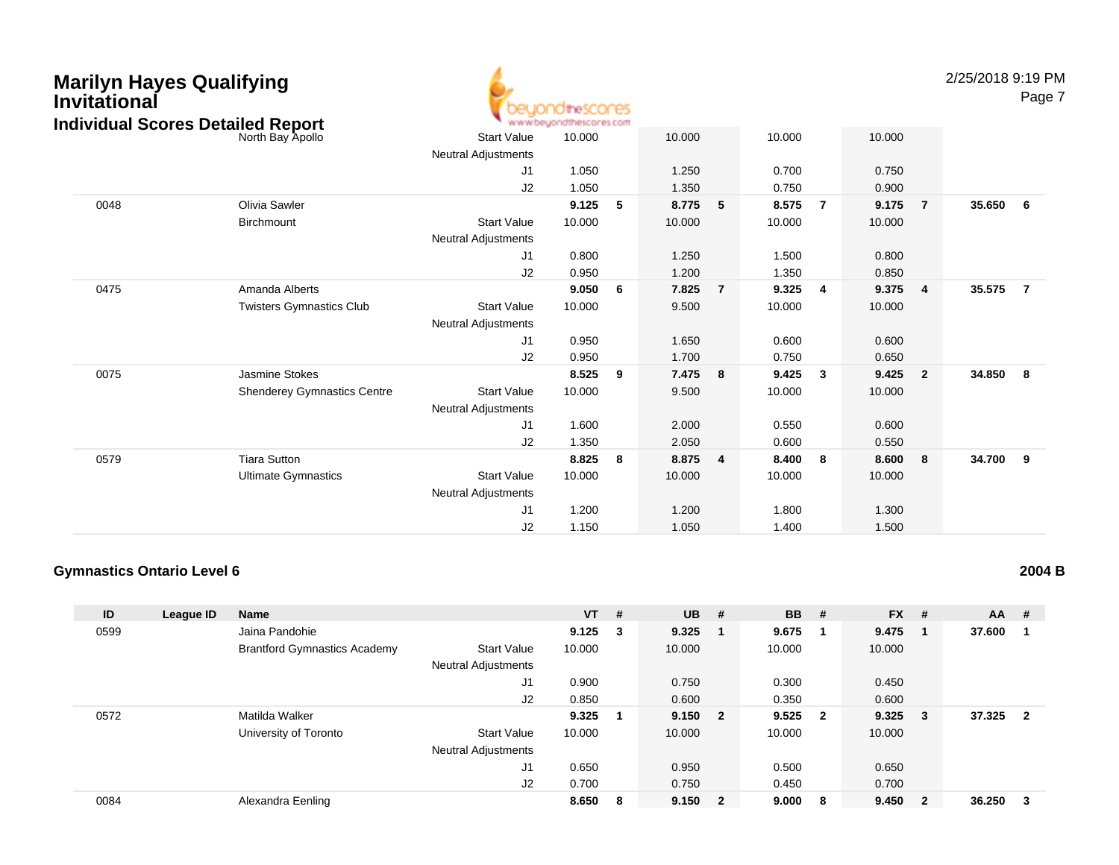| <b>Marilyn Hayes Qualifying</b><br><b>Invitational</b><br><b>Individual Scores Detailed Report</b> |                                    |                            | beyondthescores<br>www.beyondthescores.com |     |        |                |        |                |        |                | 2/25/2018 9:19 PM | Page 7         |
|----------------------------------------------------------------------------------------------------|------------------------------------|----------------------------|--------------------------------------------|-----|--------|----------------|--------|----------------|--------|----------------|-------------------|----------------|
|                                                                                                    | North Bay Apollo                   | <b>Start Value</b>         | 10.000                                     |     | 10.000 |                | 10.000 |                | 10.000 |                |                   |                |
|                                                                                                    |                                    | <b>Neutral Adjustments</b> |                                            |     |        |                |        |                |        |                |                   |                |
|                                                                                                    |                                    | J <sub>1</sub>             | 1.050                                      |     | 1.250  |                | 0.700  |                | 0.750  |                |                   |                |
|                                                                                                    |                                    | J2                         | 1.050                                      |     | 1.350  |                | 0.750  |                | 0.900  |                |                   |                |
| 0048                                                                                               | <b>Olivia Sawler</b>               |                            | 9.125                                      | 5   | 8.775  | 5              | 8.575  | $\overline{7}$ | 9.175  | $\overline{7}$ | 35.650            | 6              |
|                                                                                                    | Birchmount                         | <b>Start Value</b>         | 10.000                                     |     | 10.000 |                | 10.000 |                | 10.000 |                |                   |                |
|                                                                                                    |                                    | Neutral Adjustments        |                                            |     |        |                |        |                |        |                |                   |                |
|                                                                                                    |                                    | J <sub>1</sub>             | 0.800                                      |     | 1.250  |                | 1.500  |                | 0.800  |                |                   |                |
|                                                                                                    |                                    | J2                         | 0.950                                      |     | 1.200  |                | 1.350  |                | 0.850  |                |                   |                |
| 0475                                                                                               | Amanda Alberts                     |                            | 9.050                                      | - 6 | 7.825  | $\overline{7}$ | 9.325  | -4             | 9.375  | $\overline{4}$ | 35.575            | $\overline{7}$ |
|                                                                                                    | <b>Twisters Gymnastics Club</b>    | <b>Start Value</b>         | 10.000                                     |     | 9.500  |                | 10.000 |                | 10.000 |                |                   |                |
|                                                                                                    |                                    | Neutral Adjustments        |                                            |     |        |                |        |                |        |                |                   |                |
|                                                                                                    |                                    | J <sub>1</sub>             | 0.950                                      |     | 1.650  |                | 0.600  |                | 0.600  |                |                   |                |
|                                                                                                    |                                    | J2                         | 0.950                                      |     | 1.700  |                | 0.750  |                | 0.650  |                |                   |                |
| 0075                                                                                               | Jasmine Stokes                     |                            | 8.525                                      | - 9 | 7.475  | 8              | 9.425  | $\mathbf{3}$   | 9.425  | $\overline{2}$ | 34.850            | 8              |
|                                                                                                    | <b>Shenderey Gymnastics Centre</b> | <b>Start Value</b>         | 10.000                                     |     | 9.500  |                | 10.000 |                | 10.000 |                |                   |                |
|                                                                                                    |                                    | <b>Neutral Adjustments</b> |                                            |     |        |                |        |                |        |                |                   |                |
|                                                                                                    |                                    | J1                         | 1.600                                      |     | 2.000  |                | 0.550  |                | 0.600  |                |                   |                |
|                                                                                                    |                                    | J2                         | 1.350                                      |     | 2.050  |                | 0.600  |                | 0.550  |                |                   |                |
| 0579                                                                                               | <b>Tiara Sutton</b>                |                            | 8.825                                      | - 8 | 8.875  | $\overline{4}$ | 8.400  | - 8            | 8.600  | 8              | 34.700            | 9              |
|                                                                                                    | <b>Ultimate Gymnastics</b>         | <b>Start Value</b>         | 10.000                                     |     | 10.000 |                | 10.000 |                | 10.000 |                |                   |                |
|                                                                                                    |                                    | Neutral Adjustments        |                                            |     |        |                |        |                |        |                |                   |                |
|                                                                                                    |                                    | J <sub>1</sub>             | 1.200                                      |     | 1.200  |                | 1.800  |                | 1.300  |                |                   |                |
|                                                                                                    |                                    | J2                         | 1.150                                      |     | 1.050  |                | 1.400  |                | 1.500  |                |                   |                |

#### **Gymnastics Ontario Level 6**

| ID   | League ID | <b>Name</b>                         |                            | $VT$ #          |   | <b>UB</b> | #                       | <b>BB</b> | #                       | $FX$ # |                         | $AA$ # |                         |
|------|-----------|-------------------------------------|----------------------------|-----------------|---|-----------|-------------------------|-----------|-------------------------|--------|-------------------------|--------|-------------------------|
| 0599 |           | Jaina Pandohie                      |                            | $9.125 \quad 3$ |   | 9.325     |                         | 9.675     | $\blacksquare$          | 9.475  |                         | 37.600 |                         |
|      |           | <b>Brantford Gymnastics Academy</b> | <b>Start Value</b>         | 10.000          |   | 10.000    |                         | 10.000    |                         | 10.000 |                         |        |                         |
|      |           |                                     | <b>Neutral Adjustments</b> |                 |   |           |                         |           |                         |        |                         |        |                         |
|      |           |                                     | J1                         | 0.900           |   | 0.750     |                         | 0.300     |                         | 0.450  |                         |        |                         |
|      |           |                                     | J2                         | 0.850           |   | 0.600     |                         | 0.350     |                         | 0.600  |                         |        |                         |
| 0572 |           | Matilda Walker                      |                            | 9.325           |   | 9.150     | $\overline{\mathbf{2}}$ | 9.525     | $\overline{\mathbf{2}}$ | 9.325  | $_{3}$                  | 37.325 | $\overline{\mathbf{2}}$ |
|      |           | University of Toronto               | <b>Start Value</b>         | 10.000          |   | 10.000    |                         | 10.000    |                         | 10.000 |                         |        |                         |
|      |           |                                     | <b>Neutral Adjustments</b> |                 |   |           |                         |           |                         |        |                         |        |                         |
|      |           |                                     | J1                         | 0.650           |   | 0.950     |                         | 0.500     |                         | 0.650  |                         |        |                         |
|      |           |                                     | J <sub>2</sub>             | 0.700           |   | 0.750     |                         | 0.450     |                         | 0.700  |                         |        |                         |
| 0084 |           | Alexandra Eenling                   |                            | 8.650           | 8 | 9.150     | $\overline{\mathbf{2}}$ | 9.000     | -8                      | 9.450  | $\overline{\mathbf{2}}$ | 36.250 | - 3                     |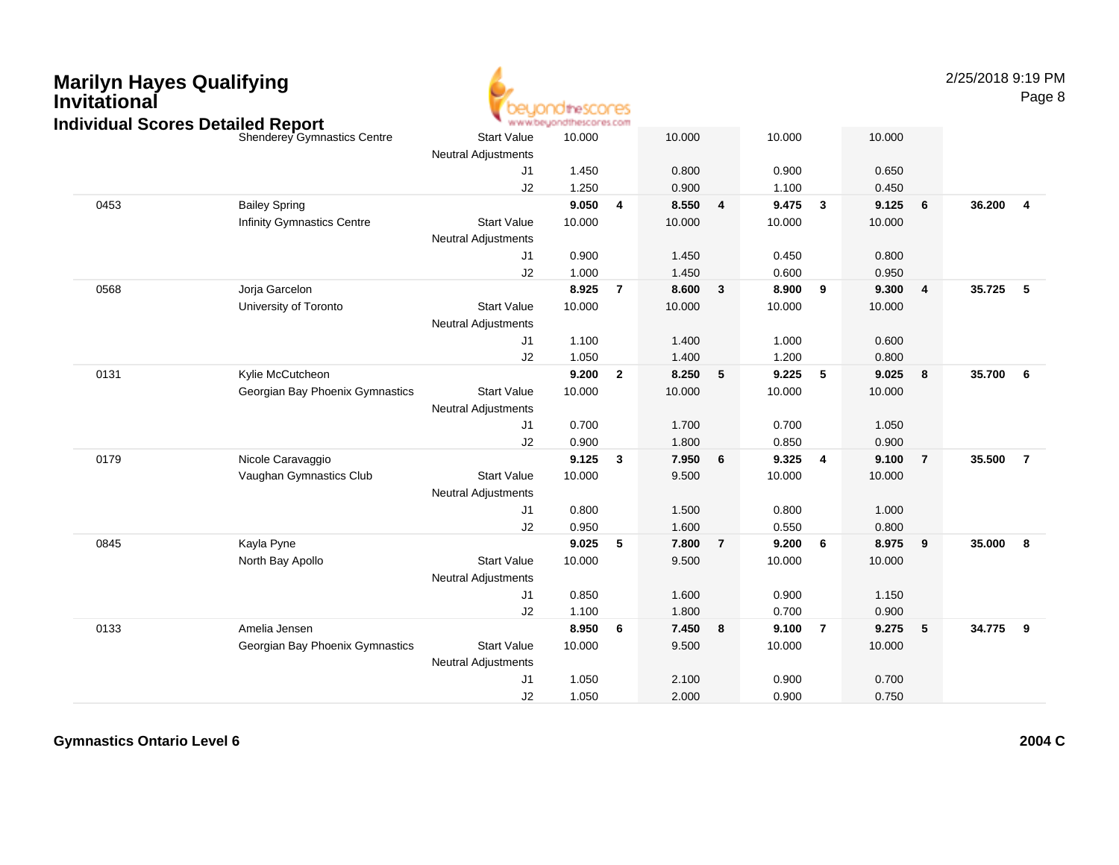| <b>Marilyn Hayes Qualifying</b><br><b>Invitational</b> |
|--------------------------------------------------------|
| Individual Scores Detailed Rep                         |



2/25/2018 9:19 PMPage 8

|      | Individual Scores Detailed Report |                            | www.beyondthescores.com |                         |        |                 |        |                |        |                         |        |                 |
|------|-----------------------------------|----------------------------|-------------------------|-------------------------|--------|-----------------|--------|----------------|--------|-------------------------|--------|-----------------|
|      | Shenderey Gymnastics Centre       | <b>Start Value</b>         | 10.000                  |                         | 10.000 |                 | 10.000 |                | 10.000 |                         |        |                 |
|      |                                   | <b>Neutral Adjustments</b> |                         |                         |        |                 |        |                |        |                         |        |                 |
|      |                                   | J <sub>1</sub>             | 1.450                   |                         | 0.800  |                 | 0.900  |                | 0.650  |                         |        |                 |
|      |                                   | J <sub>2</sub>             | 1.250                   |                         | 0.900  |                 | 1.100  |                | 0.450  |                         |        |                 |
| 0453 | <b>Bailey Spring</b>              |                            | 9.050                   | $\overline{\mathbf{4}}$ | 8.550  | 4               | 9.475  | $\mathbf{3}$   | 9.125  | 6                       | 36.200 | $\overline{4}$  |
|      | Infinity Gymnastics Centre        | <b>Start Value</b>         | 10.000                  |                         | 10.000 |                 | 10.000 |                | 10.000 |                         |        |                 |
|      |                                   | <b>Neutral Adjustments</b> |                         |                         |        |                 |        |                |        |                         |        |                 |
|      |                                   | J1                         | 0.900                   |                         | 1.450  |                 | 0.450  |                | 0.800  |                         |        |                 |
|      |                                   | J2                         | 1.000                   |                         | 1.450  |                 | 0.600  |                | 0.950  |                         |        |                 |
| 0568 | Jorja Garcelon                    |                            | 8.925                   | $\overline{7}$          | 8.600  | $\mathbf{3}$    | 8.900  | 9              | 9.300  | $\overline{\mathbf{4}}$ | 35.725 | - 5             |
|      | University of Toronto             | <b>Start Value</b>         | 10.000                  |                         | 10.000 |                 | 10.000 |                | 10.000 |                         |        |                 |
|      |                                   | <b>Neutral Adjustments</b> |                         |                         |        |                 |        |                |        |                         |        |                 |
|      |                                   | J <sub>1</sub>             | 1.100                   |                         | 1.400  |                 | 1.000  |                | 0.600  |                         |        |                 |
|      |                                   | J2                         | 1.050                   |                         | 1.400  |                 | 1.200  |                | 0.800  |                         |        |                 |
| 0131 | Kylie McCutcheon                  |                            | 9.200                   | $\overline{2}$          | 8.250  | $5\phantom{.0}$ | 9.225  | 5              | 9.025  | $\bf{8}$                | 35.700 | $6\phantom{1}6$ |
|      | Georgian Bay Phoenix Gymnastics   | <b>Start Value</b>         | 10.000                  |                         | 10.000 |                 | 10.000 |                | 10.000 |                         |        |                 |
|      |                                   | Neutral Adjustments        |                         |                         |        |                 |        |                |        |                         |        |                 |
|      |                                   | J1                         | 0.700                   |                         | 1.700  |                 | 0.700  |                | 1.050  |                         |        |                 |
|      |                                   | J2                         | 0.900                   |                         | 1.800  |                 | 0.850  |                | 0.900  |                         |        |                 |
| 0179 | Nicole Caravaggio                 |                            | 9.125                   | $\mathbf{3}$            | 7.950  | 6               | 9.325  | 4              | 9.100  | $\overline{7}$          | 35.500 | $\overline{7}$  |
|      | Vaughan Gymnastics Club           | <b>Start Value</b>         | 10.000                  |                         | 9.500  |                 | 10.000 |                | 10.000 |                         |        |                 |
|      |                                   | <b>Neutral Adjustments</b> |                         |                         |        |                 |        |                |        |                         |        |                 |
|      |                                   | J <sub>1</sub>             | 0.800                   |                         | 1.500  |                 | 0.800  |                | 1.000  |                         |        |                 |
|      |                                   | J2                         | 0.950                   |                         | 1.600  |                 | 0.550  |                | 0.800  |                         |        |                 |
| 0845 | Kayla Pyne                        |                            | 9.025                   | 5                       | 7.800  | $\overline{7}$  | 9.200  | 6              | 8.975  | $\overline{9}$          | 35.000 | 8               |
|      | North Bay Apollo                  | <b>Start Value</b>         | 10.000                  |                         | 9.500  |                 | 10.000 |                | 10.000 |                         |        |                 |
|      |                                   | Neutral Adjustments        |                         |                         |        |                 |        |                |        |                         |        |                 |
|      |                                   | J <sub>1</sub>             | 0.850                   |                         | 1.600  |                 | 0.900  |                | 1.150  |                         |        |                 |
|      |                                   | J2                         | 1.100                   |                         | 1.800  |                 | 0.700  |                | 0.900  |                         |        |                 |
| 0133 | Amelia Jensen                     |                            | 8.950                   | 6                       | 7.450  | 8               | 9.100  | $\overline{7}$ | 9.275  | $-5$                    | 34.775 | 9               |
|      | Georgian Bay Phoenix Gymnastics   | <b>Start Value</b>         | 10.000                  |                         | 9.500  |                 | 10.000 |                | 10.000 |                         |        |                 |
|      |                                   | <b>Neutral Adjustments</b> |                         |                         |        |                 |        |                |        |                         |        |                 |
|      |                                   | J1                         | 1.050                   |                         | 2.100  |                 | 0.900  |                | 0.700  |                         |        |                 |
|      |                                   | J2                         | 1.050                   |                         | 2.000  |                 | 0.900  |                | 0.750  |                         |        |                 |
|      |                                   |                            |                         |                         |        |                 |        |                |        |                         |        |                 |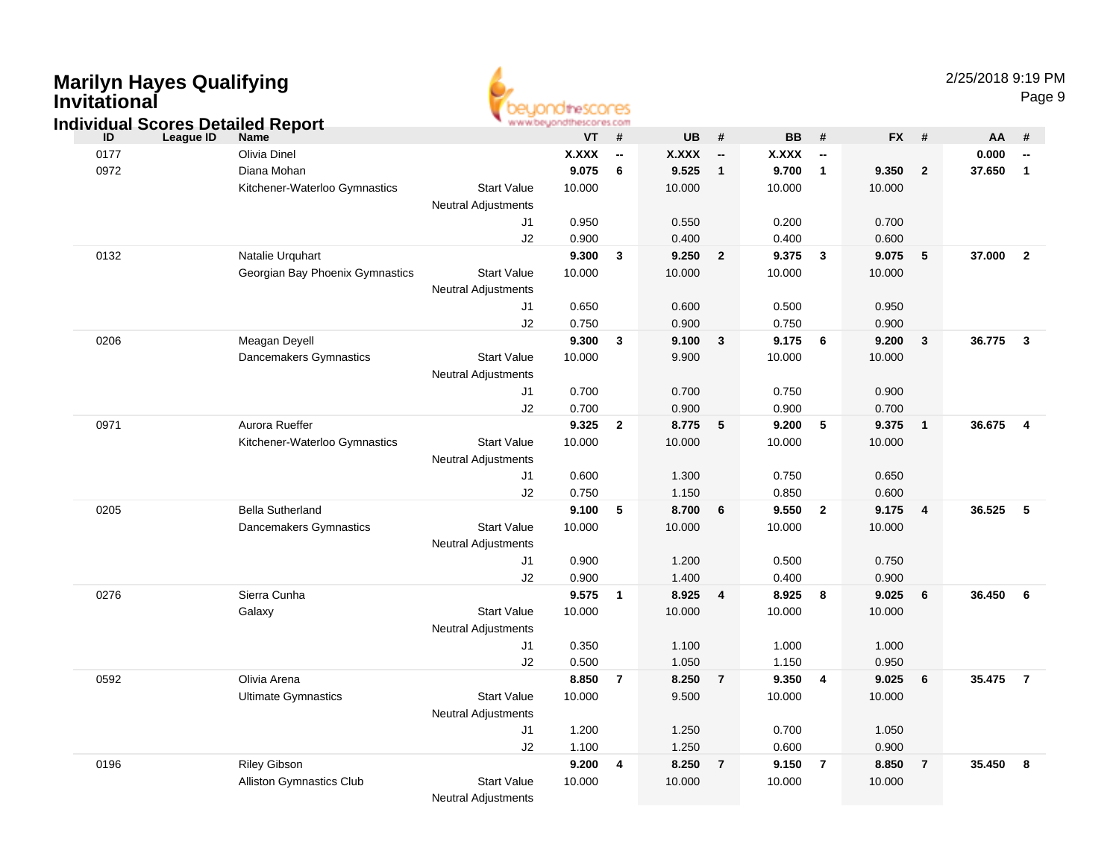| <b>Marilyn Hayes Qualifying</b><br><b>Invitational</b><br><b>Individual Scores Detailed Report</b> |                                 |                            | OtheSCOCES<br>www.beyondthescores.com |                          |              |                          |              |                          |           |                | 2/25/2018 9:19 PM |                         | Page 9 |
|----------------------------------------------------------------------------------------------------|---------------------------------|----------------------------|---------------------------------------|--------------------------|--------------|--------------------------|--------------|--------------------------|-----------|----------------|-------------------|-------------------------|--------|
| League ID<br>ID                                                                                    | <b>Name</b>                     |                            | <b>VT</b>                             | #                        | <b>UB</b>    | #                        | <b>BB</b>    | #                        | <b>FX</b> | #              | AA                | #                       |        |
| 0177                                                                                               | <b>Olivia Dinel</b>             |                            | <b>X.XXX</b>                          | $\overline{\phantom{a}}$ | <b>X.XXX</b> | $\overline{\phantom{a}}$ | <b>X.XXX</b> | $\overline{\phantom{a}}$ |           |                | 0.000             |                         |        |
| 0972                                                                                               | Diana Mohan                     |                            | 9.075                                 | 6                        | 9.525        | $\mathbf{1}$             | 9.700        | $\overline{1}$           | 9.350     | $\overline{2}$ | 37.650            | $\overline{1}$          |        |
|                                                                                                    | Kitchener-Waterloo Gymnastics   | <b>Start Value</b>         | 10.000                                |                          | 10.000       |                          | 10.000       |                          | 10.000    |                |                   |                         |        |
|                                                                                                    |                                 | <b>Neutral Adjustments</b> |                                       |                          |              |                          |              |                          |           |                |                   |                         |        |
|                                                                                                    |                                 | J1                         | 0.950                                 |                          | 0.550        |                          | 0.200        |                          | 0.700     |                |                   |                         |        |
|                                                                                                    |                                 | J2                         | 0.900                                 |                          | 0.400        |                          | 0.400        |                          | 0.600     |                |                   |                         |        |
| 0132                                                                                               | Natalie Urquhart                |                            | 9.300                                 | $\mathbf{3}$             | 9.250        | $\overline{2}$           | 9.375        | $\overline{\mathbf{3}}$  | 9.075     | 5              | 37.000            | $\overline{\mathbf{2}}$ |        |
|                                                                                                    | Georgian Bay Phoenix Gymnastics | <b>Start Value</b>         | 10.000                                |                          | 10.000       |                          | 10.000       |                          | 10.000    |                |                   |                         |        |
|                                                                                                    |                                 | <b>Neutral Adjustments</b> |                                       |                          |              |                          |              |                          |           |                |                   |                         |        |
|                                                                                                    |                                 | J1                         | 0.650                                 |                          | 0.600        |                          | 0.500        |                          | 0.950     |                |                   |                         |        |
|                                                                                                    |                                 | J2                         | 0.750                                 |                          | 0.900        |                          | 0.750        |                          | 0.900     |                |                   |                         |        |
| 0206                                                                                               | Meagan Deyell                   |                            | 9.300                                 | $\mathbf{3}$             | 9.100        | $\mathbf{3}$             | 9.175        | 6                        | 9.200     | $\mathbf{3}$   | 36.775            | $\overline{\mathbf{3}}$ |        |
|                                                                                                    | Dancemakers Gymnastics          | <b>Start Value</b>         | 10.000                                |                          | 9.900        |                          | 10.000       |                          | 10.000    |                |                   |                         |        |
|                                                                                                    |                                 | <b>Neutral Adjustments</b> |                                       |                          |              |                          |              |                          |           |                |                   |                         |        |
|                                                                                                    |                                 | J1                         | 0.700                                 |                          | 0.700        |                          | 0.750        |                          | 0.900     |                |                   |                         |        |
|                                                                                                    |                                 | J2                         | 0.700                                 |                          | 0.900        |                          | 0.900        |                          | 0.700     |                |                   |                         |        |
| 0971                                                                                               | Aurora Rueffer                  |                            | 9.325                                 | $\overline{2}$           | 8.775        | 5                        | 9.200        | $-5$                     | 9.375     | $\mathbf{1}$   | 36.675            | $\overline{4}$          |        |
|                                                                                                    | Kitchener-Waterloo Gymnastics   | <b>Start Value</b>         | 10.000                                |                          | 10.000       |                          | 10.000       |                          | 10.000    |                |                   |                         |        |
|                                                                                                    |                                 | <b>Neutral Adjustments</b> |                                       |                          |              |                          |              |                          |           |                |                   |                         |        |
|                                                                                                    |                                 | J1                         | 0.600                                 |                          | 1.300        |                          | 0.750        |                          | 0.650     |                |                   |                         |        |
|                                                                                                    |                                 | J2                         | 0.750                                 |                          | 1.150        |                          | 0.850        |                          | 0.600     |                |                   |                         |        |
| 0205                                                                                               | <b>Bella Sutherland</b>         |                            | 9.100                                 | 5                        | 8.700        | 6                        | 9.550        | $\overline{2}$           | 9.175     | 4              | 36.525            | 5                       |        |
|                                                                                                    | Dancemakers Gymnastics          | <b>Start Value</b>         | 10.000                                |                          | 10.000       |                          | 10.000       |                          | 10.000    |                |                   |                         |        |
|                                                                                                    |                                 | <b>Neutral Adjustments</b> |                                       |                          |              |                          |              |                          |           |                |                   |                         |        |
|                                                                                                    |                                 | J1                         | 0.900                                 |                          | 1.200        |                          | 0.500        |                          | 0.750     |                |                   |                         |        |
|                                                                                                    |                                 | J2                         | 0.900                                 |                          | 1.400        |                          | 0.400        |                          | 0.900     |                |                   |                         |        |
| 0276                                                                                               | Sierra Cunha                    | <b>Start Value</b>         | 9.575<br>10.000                       | $\overline{\mathbf{1}}$  | 8.925        | $\overline{\mathbf{4}}$  | 8.925        | 8                        | 9.025     | 6              | 36.450            | 6                       |        |
|                                                                                                    | Galaxy                          |                            |                                       |                          | 10.000       |                          | 10.000       |                          | 10.000    |                |                   |                         |        |
|                                                                                                    |                                 | <b>Neutral Adjustments</b> | 0.350                                 |                          | 1.100        |                          | 1.000        |                          | 1.000     |                |                   |                         |        |
|                                                                                                    |                                 | J1<br>J2                   | 0.500                                 |                          | 1.050        |                          | 1.150        |                          | 0.950     |                |                   |                         |        |
| 0592                                                                                               | Olivia Arena                    |                            | 8.850                                 | $\overline{7}$           | 8.250        | $\overline{7}$           | 9.350        | $\overline{4}$           | 9.025     | 6              | 35.475            | $\overline{7}$          |        |
|                                                                                                    | <b>Ultimate Gymnastics</b>      | Start Value                | 10.000                                |                          | 9.500        |                          | 10.000       |                          | 10.000    |                |                   |                         |        |
|                                                                                                    |                                 | <b>Neutral Adjustments</b> |                                       |                          |              |                          |              |                          |           |                |                   |                         |        |
|                                                                                                    |                                 | J1                         | 1.200                                 |                          | 1.250        |                          | 0.700        |                          | 1.050     |                |                   |                         |        |
|                                                                                                    |                                 | J2                         | 1.100                                 |                          | 1.250        |                          | 0.600        |                          | 0.900     |                |                   |                         |        |
| 0196                                                                                               | <b>Riley Gibson</b>             |                            | 9.200                                 | $\overline{\mathbf{4}}$  | 8.250        | $\overline{7}$           | 9.150 7      |                          | 8.850     | $\overline{7}$ | 35.450 8          |                         |        |
|                                                                                                    | Alliston Gymnastics Club        | Start Value                | 10.000                                |                          | 10.000       |                          | 10.000       |                          | 10.000    |                |                   |                         |        |
|                                                                                                    |                                 | <b>Neutral Adjustments</b> |                                       |                          |              |                          |              |                          |           |                |                   |                         |        |
|                                                                                                    |                                 |                            |                                       |                          |              |                          |              |                          |           |                |                   |                         |        |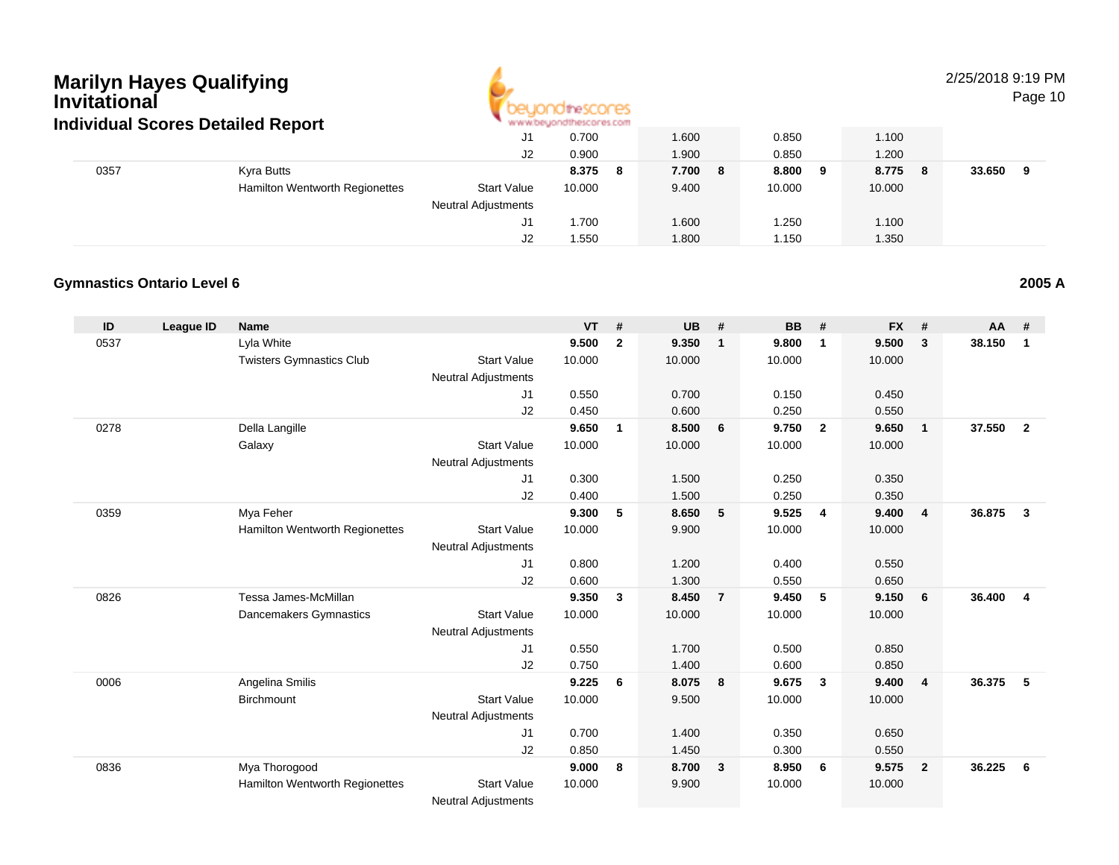

2/25/2018 9:19 PM

Page 10

| Individual Scores Detalled Report<br>0357<br>Kyra Butts |                                       |                            |             |         |                              |            |             |
|---------------------------------------------------------|---------------------------------------|----------------------------|-------------|---------|------------------------------|------------|-------------|
|                                                         |                                       | J1                         | 0.700       | 1.600   | 0.850                        | 1.100      |             |
|                                                         |                                       | J2                         | 0.900       | 1.900   | 0.850                        | 1.200      |             |
|                                                         |                                       |                            | 8.375<br>-8 | 7.700 8 | 8.800<br>- 9                 | 8.775<br>8 | 33.650<br>q |
|                                                         | <b>Hamilton Wentworth Regionettes</b> | <b>Start Value</b>         | 10.000      | 9.400   | 10.000                       | 10.000     |             |
|                                                         |                                       | <b>Neutral Adjustments</b> |             |         |                              |            |             |
|                                                         |                                       | J1                         | .700        | 1.600   | .250                         | 1.100      |             |
|                                                         |                                       | J2                         | 1.550       | 008.1   | . 150،                       | 1.350      |             |
|                                                         |                                       |                            |             |         | . M.M.M.DEVOLUTIONSCOLES COM |            |             |

#### **Gymnastics Ontario Level 62005 A**

| ID   | <b>League ID</b> | <b>Name</b>                     |                            | <b>VT</b> | #              | <b>UB</b> | #              | <b>BB</b> | #              | <b>FX</b> | #              | <b>AA</b> | #              |
|------|------------------|---------------------------------|----------------------------|-----------|----------------|-----------|----------------|-----------|----------------|-----------|----------------|-----------|----------------|
| 0537 |                  | Lyla White                      |                            | 9.500     | $\overline{2}$ | 9.350     | $\overline{1}$ | 9.800     | $\mathbf{1}$   | 9.500     | 3              | 38.150    | 1              |
|      |                  | <b>Twisters Gymnastics Club</b> | <b>Start Value</b>         | 10.000    |                | 10.000    |                | 10.000    |                | 10.000    |                |           |                |
|      |                  |                                 | <b>Neutral Adjustments</b> |           |                |           |                |           |                |           |                |           |                |
|      |                  |                                 | J1                         | 0.550     |                | 0.700     |                | 0.150     |                | 0.450     |                |           |                |
|      |                  |                                 | J <sub>2</sub>             | 0.450     |                | 0.600     |                | 0.250     |                | 0.550     |                |           |                |
| 0278 |                  | Della Langille                  |                            | 9.650     | $\mathbf{1}$   | 8.500     | 6              | 9.750     | $\overline{2}$ | 9.650     | $\mathbf{1}$   | 37.550    | $\overline{2}$ |
|      |                  | Galaxy                          | <b>Start Value</b>         | 10.000    |                | 10.000    |                | 10.000    |                | 10.000    |                |           |                |
|      |                  |                                 | <b>Neutral Adjustments</b> |           |                |           |                |           |                |           |                |           |                |
|      |                  |                                 | J1                         | 0.300     |                | 1.500     |                | 0.250     |                | 0.350     |                |           |                |
|      |                  |                                 | J2                         | 0.400     |                | 1.500     |                | 0.250     |                | 0.350     |                |           |                |
| 0359 |                  | Mya Feher                       |                            | 9.300     | 5              | 8.650     | 5              | 9.525     | $\overline{4}$ | 9.400     | $\overline{4}$ | 36.875    | $\mathbf{3}$   |
|      |                  | Hamilton Wentworth Regionettes  | <b>Start Value</b>         | 10.000    |                | 9.900     |                | 10.000    |                | 10.000    |                |           |                |
|      |                  |                                 | <b>Neutral Adjustments</b> |           |                |           |                |           |                |           |                |           |                |
|      |                  |                                 | J1                         | 0.800     |                | 1.200     |                | 0.400     |                | 0.550     |                |           |                |
|      |                  |                                 | J2                         | 0.600     |                | 1.300     |                | 0.550     |                | 0.650     |                |           |                |
| 0826 |                  | Tessa James-McMillan            |                            | 9.350     | 3              | 8.450     | $\overline{7}$ | 9.450     | 5              | 9.150     | 6              | 36.400    | $\overline{4}$ |
|      |                  | Dancemakers Gymnastics          | <b>Start Value</b>         | 10.000    |                | 10.000    |                | 10.000    |                | 10.000    |                |           |                |
|      |                  |                                 | <b>Neutral Adjustments</b> |           |                |           |                |           |                |           |                |           |                |
|      |                  |                                 | J1                         | 0.550     |                | 1.700     |                | 0.500     |                | 0.850     |                |           |                |
|      |                  |                                 | J <sub>2</sub>             | 0.750     |                | 1.400     |                | 0.600     |                | 0.850     |                |           |                |
| 0006 |                  | Angelina Smilis                 |                            | 9.225     | 6              | 8.075     | 8              | 9.675     | $\mathbf{3}$   | 9.400     | $\overline{4}$ | 36.375    | 5              |
|      |                  | Birchmount                      | <b>Start Value</b>         | 10.000    |                | 9.500     |                | 10.000    |                | 10.000    |                |           |                |
|      |                  |                                 | <b>Neutral Adjustments</b> |           |                |           |                |           |                |           |                |           |                |
|      |                  |                                 | J1                         | 0.700     |                | 1.400     |                | 0.350     |                | 0.650     |                |           |                |
|      |                  |                                 | J <sub>2</sub>             | 0.850     |                | 1.450     |                | 0.300     |                | 0.550     |                |           |                |
| 0836 |                  | Mya Thorogood                   |                            | 9.000     | 8              | 8.700     | $\mathbf{3}$   | 8.950     | 6              | 9.575     | $\overline{2}$ | 36.225    | - 6            |
|      |                  | Hamilton Wentworth Regionettes  | <b>Start Value</b>         | 10.000    |                | 9.900     |                | 10.000    |                | 10.000    |                |           |                |
|      |                  |                                 | Noutral Adjustments        |           |                |           |                |           |                |           |                |           |                |

Neutral Adjustments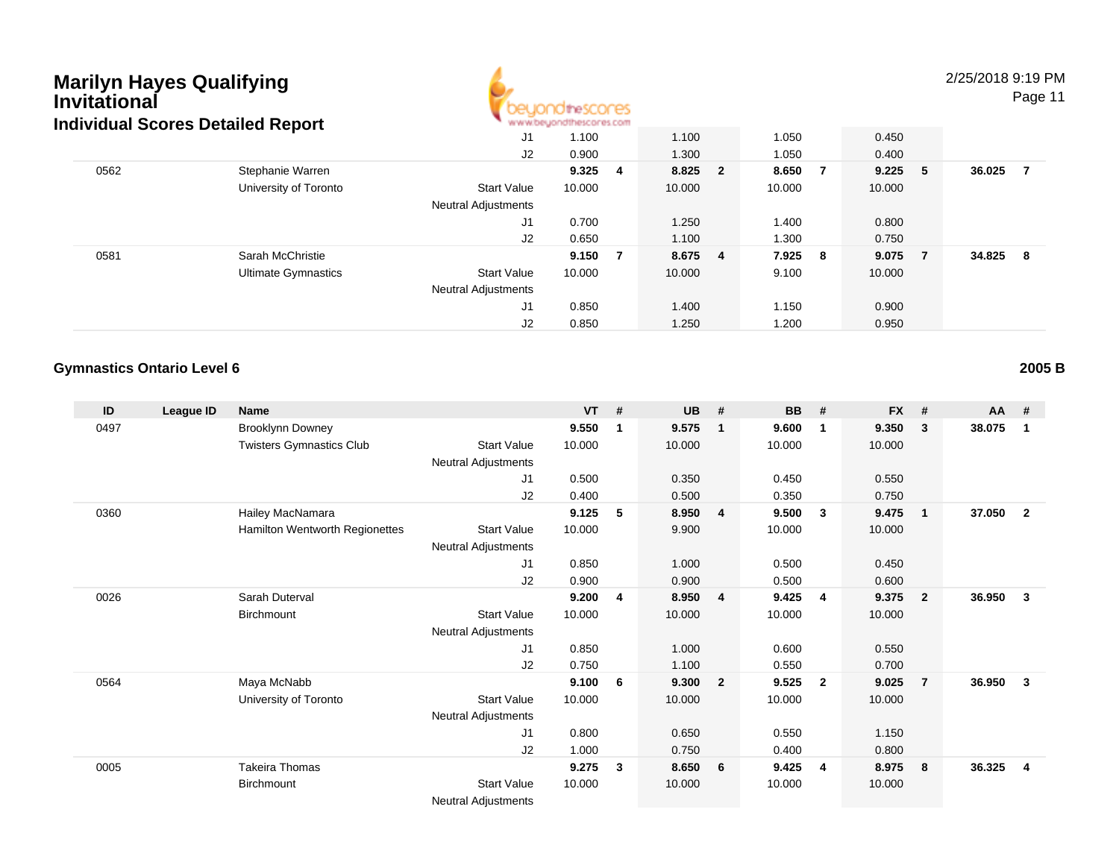

2/25/2018 9:19 PM

Page 11

|      | idividual Scores Detailed Report |                            | <b>M.M.MOD/WEIGHT/MOD/DI #3/10000</b> |    |         |         |           |     |        |     |
|------|----------------------------------|----------------------------|---------------------------------------|----|---------|---------|-----------|-----|--------|-----|
|      |                                  | J1                         | 1.100                                 |    | 1.100   | 1.050   | 0.450     |     |        |     |
|      |                                  | J2                         | 0.900                                 |    | 1.300   | 1.050   | 0.400     |     |        |     |
| 0562 | Stephanie Warren                 |                            | 9.325                                 | -4 | 8.825 2 | 8.650   | $9.225$ 5 |     | 36.025 | - 7 |
|      | University of Toronto            | <b>Start Value</b>         | 10.000                                |    | 10.000  | 10.000  | 10.000    |     |        |     |
|      |                                  | <b>Neutral Adjustments</b> |                                       |    |         |         |           |     |        |     |
|      |                                  | J1                         | 0.700                                 |    | 1.250   | 1.400   | 0.800     |     |        |     |
|      |                                  | J2                         | 0.650                                 |    | 1.100   | 1.300   | 0.750     |     |        |     |
| 0581 | Sarah McChristie                 |                            | 9.150                                 | -7 | 8.675 4 | 7.925 8 | 9.075     | - 7 | 34.825 | - 8 |
|      | <b>Ultimate Gymnastics</b>       | <b>Start Value</b>         | 10.000                                |    | 10.000  | 9.100   | 10.000    |     |        |     |
|      |                                  | <b>Neutral Adjustments</b> |                                       |    |         |         |           |     |        |     |
|      |                                  | J <sub>1</sub>             | 0.850                                 |    | 1.400   | 1.150   | 0.900     |     |        |     |
|      |                                  | J2                         | 0.850                                 |    | 1.250   | 1.200   | 0.950     |     |        |     |

#### **Gymnastics Ontario Level 6**

| ID   | League ID | Name                            |                            | <b>VT</b> | #  | <b>UB</b> | #                       | <b>BB</b> | #                       | <b>FX</b> | #              | $AA$ # |                |
|------|-----------|---------------------------------|----------------------------|-----------|----|-----------|-------------------------|-----------|-------------------------|-----------|----------------|--------|----------------|
| 0497 |           | <b>Brooklynn Downey</b>         |                            | 9.550     | 1  | 9.575     | -1                      | 9.600     | $\mathbf{1}$            | 9.350     | 3              | 38.075 | $\mathbf 1$    |
|      |           | <b>Twisters Gymnastics Club</b> | <b>Start Value</b>         | 10.000    |    | 10.000    |                         | 10.000    |                         | 10.000    |                |        |                |
|      |           |                                 | Neutral Adjustments        |           |    |           |                         |           |                         |           |                |        |                |
|      |           |                                 | J <sub>1</sub>             | 0.500     |    | 0.350     |                         | 0.450     |                         | 0.550     |                |        |                |
|      |           |                                 | J2                         | 0.400     |    | 0.500     |                         | 0.350     |                         | 0.750     |                |        |                |
| 0360 |           | Hailey MacNamara                |                            | 9.125     | 5  | 8.950     | $\overline{4}$          | 9.500     | 3                       | 9.475     | $\mathbf{1}$   | 37.050 | $\overline{2}$ |
|      |           | Hamilton Wentworth Regionettes  | <b>Start Value</b>         | 10.000    |    | 9.900     |                         | 10.000    |                         | 10.000    |                |        |                |
|      |           |                                 | <b>Neutral Adjustments</b> |           |    |           |                         |           |                         |           |                |        |                |
|      |           |                                 | J1                         | 0.850     |    | 1.000     |                         | 0.500     |                         | 0.450     |                |        |                |
|      |           |                                 | J2                         | 0.900     |    | 0.900     |                         | 0.500     |                         | 0.600     |                |        |                |
| 0026 |           | Sarah Duterval                  |                            | 9.200     | 4  | 8.950     | $\overline{4}$          | 9.425     | $\overline{4}$          | 9.375     | $\mathbf{2}$   | 36.950 | $\mathbf{3}$   |
|      |           | Birchmount                      | <b>Start Value</b>         | 10.000    |    | 10.000    |                         | 10.000    |                         | 10.000    |                |        |                |
|      |           |                                 | <b>Neutral Adjustments</b> |           |    |           |                         |           |                         |           |                |        |                |
|      |           |                                 | J1                         | 0.850     |    | 1.000     |                         | 0.600     |                         | 0.550     |                |        |                |
|      |           |                                 | J2                         | 0.750     |    | 1.100     |                         | 0.550     |                         | 0.700     |                |        |                |
| 0564 |           | Maya McNabb                     |                            | 9.100     | -6 | 9.300     | $\overline{\mathbf{2}}$ | 9.525     | $\overline{\mathbf{2}}$ | 9.025     | $\overline{7}$ | 36.950 | 3              |
|      |           | University of Toronto           | <b>Start Value</b>         | 10.000    |    | 10.000    |                         | 10.000    |                         | 10.000    |                |        |                |
|      |           |                                 | Neutral Adjustments        |           |    |           |                         |           |                         |           |                |        |                |
|      |           |                                 | J <sub>1</sub>             | 0.800     |    | 0.650     |                         | 0.550     |                         | 1.150     |                |        |                |
|      |           |                                 | J2                         | 1.000     |    | 0.750     |                         | 0.400     |                         | 0.800     |                |        |                |
| 0005 |           | <b>Takeira Thomas</b>           |                            | 9.275     | 3  | 8.650     | 6                       | 9.425     | $\overline{4}$          | 8.975     | 8              | 36.325 | $\overline{4}$ |
|      |           | <b>Birchmount</b>               | <b>Start Value</b>         | 10.000    |    | 10.000    |                         | 10.000    |                         | 10.000    |                |        |                |
|      |           |                                 | <b>Neutral Adjustments</b> |           |    |           |                         |           |                         |           |                |        |                |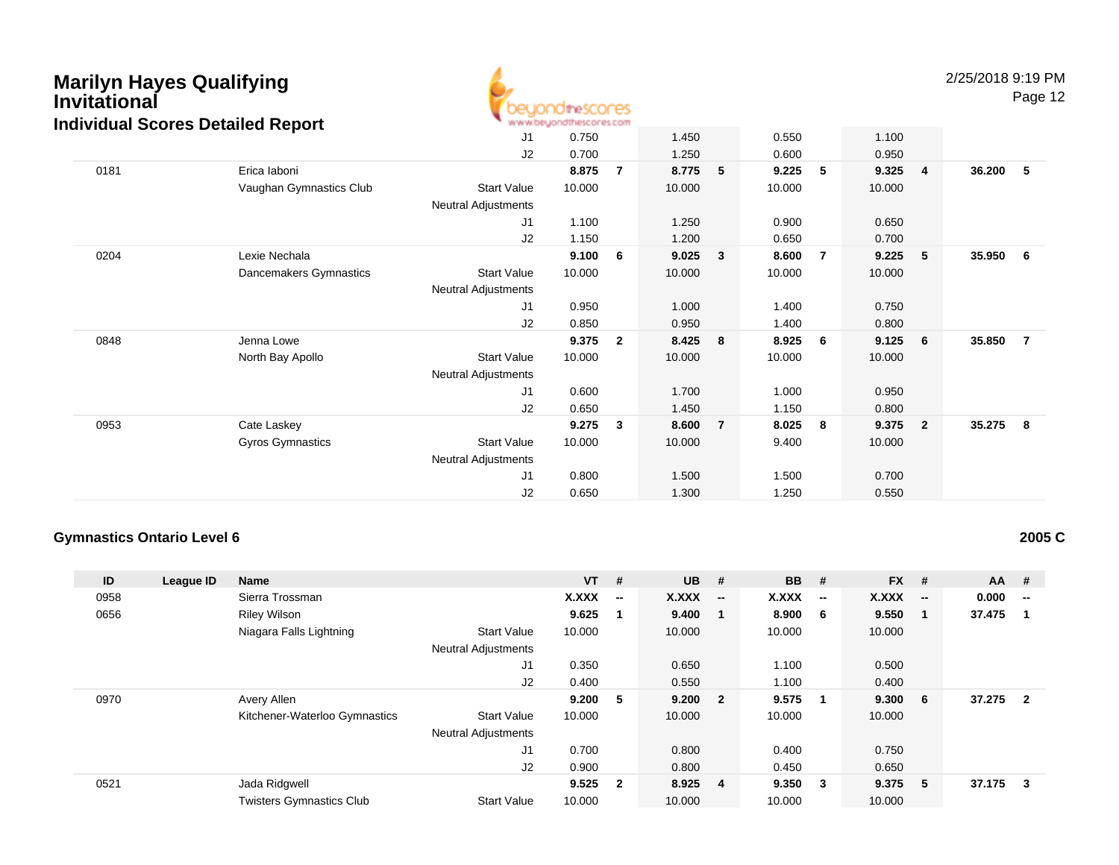

2/25/2018 9:19 PM

Page 12

|      |                         | J <sub>1</sub>             | 0.750  |                | 1.450  |                | 0.550  |   | 1.100  |                         |        |                |
|------|-------------------------|----------------------------|--------|----------------|--------|----------------|--------|---|--------|-------------------------|--------|----------------|
|      |                         | J2                         | 0.700  |                | 1.250  |                | 0.600  |   | 0.950  |                         |        |                |
| 0181 | Erica laboni            |                            | 8.875  | $\overline{7}$ | 8.775  | 5              | 9.225  | 5 | 9.325  | $\overline{4}$          | 36.200 | -5             |
|      | Vaughan Gymnastics Club | <b>Start Value</b>         | 10.000 |                | 10.000 |                | 10.000 |   | 10.000 |                         |        |                |
|      |                         | Neutral Adjustments        |        |                |        |                |        |   |        |                         |        |                |
|      |                         | J <sub>1</sub>             | 1.100  |                | 1.250  |                | 0.900  |   | 0.650  |                         |        |                |
|      |                         | J2                         | 1.150  |                | 1.200  |                | 0.650  |   | 0.700  |                         |        |                |
| 0204 | Lexie Nechala           |                            | 9.100  | 6              | 9.025  | 3              | 8.600  | 7 | 9.225  | $-5$                    | 35.950 | - 6            |
|      | Dancemakers Gymnastics  | <b>Start Value</b>         | 10.000 |                | 10.000 |                | 10.000 |   | 10.000 |                         |        |                |
|      |                         | Neutral Adjustments        |        |                |        |                |        |   |        |                         |        |                |
|      |                         | J1                         | 0.950  |                | 1.000  |                | 1.400  |   | 0.750  |                         |        |                |
|      |                         | J2                         | 0.850  |                | 0.950  |                | 1.400  |   | 0.800  |                         |        |                |
| 0848 | Jenna Lowe              |                            | 9.375  | $\mathbf{2}$   | 8.425  | 8              | 8.925  | 6 | 9.125  | - 6                     | 35.850 | $\overline{7}$ |
|      | North Bay Apollo        | <b>Start Value</b>         | 10.000 |                | 10.000 |                | 10.000 |   | 10.000 |                         |        |                |
|      |                         | <b>Neutral Adjustments</b> |        |                |        |                |        |   |        |                         |        |                |
|      |                         | J <sub>1</sub>             | 0.600  |                | 1.700  |                | 1.000  |   | 0.950  |                         |        |                |
|      |                         | J <sub>2</sub>             | 0.650  |                | 1.450  |                | 1.150  |   | 0.800  |                         |        |                |
| 0953 | Cate Laskey             |                            | 9.275  | 3              | 8.600  | $\overline{7}$ | 8.025  | 8 | 9.375  | $\overline{\mathbf{2}}$ | 35.275 | - 8            |
|      | <b>Gyros Gymnastics</b> | <b>Start Value</b>         | 10.000 |                | 10.000 |                | 9.400  |   | 10.000 |                         |        |                |
|      |                         | <b>Neutral Adjustments</b> |        |                |        |                |        |   |        |                         |        |                |
|      |                         | J1                         | 0.800  |                | 1.500  |                | 1.500  |   | 0.700  |                         |        |                |
|      |                         | J2                         | 0.650  |                | 1.300  |                | 1.250  |   | 0.550  |                         |        |                |

#### **Gymnastics Ontario Level 6**

**2005 C**

| ID<br>League ID | <b>Name</b>                     |                            | $VT$ # |              | <b>UB</b> | #                        | <b>BB</b> | #                        | <b>FX</b> | #                        | <b>AA</b> | - #                     |
|-----------------|---------------------------------|----------------------------|--------|--------------|-----------|--------------------------|-----------|--------------------------|-----------|--------------------------|-----------|-------------------------|
| 0958            | Sierra Trossman                 |                            | X.XXX  | −−           | X.XXX     | $\overline{\phantom{a}}$ | X.XXX     | $\overline{\phantom{a}}$ | X.XXX     | $\overline{\phantom{a}}$ | 0.000     | --                      |
| 0656            | <b>Riley Wilson</b>             |                            | 9.625  |              | 9.400     |                          | 8.900     | - 6                      | 9.550     | - 1                      | 37.475    | -1                      |
|                 | Niagara Falls Lightning         | <b>Start Value</b>         | 10.000 |              | 10.000    |                          | 10.000    |                          | 10.000    |                          |           |                         |
|                 |                                 | <b>Neutral Adjustments</b> |        |              |           |                          |           |                          |           |                          |           |                         |
|                 |                                 | J1                         | 0.350  |              | 0.650     |                          | 1.100     |                          | 0.500     |                          |           |                         |
|                 |                                 | J2                         | 0.400  |              | 0.550     |                          | 1.100     |                          | 0.400     |                          |           |                         |
| 0970            | Avery Allen                     |                            | 9.200  | 5            | 9.200 2   |                          | 9.575     | - 1                      | 9.300     | - 6                      | 37.275    | $\overline{\mathbf{2}}$ |
|                 | Kitchener-Waterloo Gymnastics   | <b>Start Value</b>         | 10.000 |              | 10.000    |                          | 10.000    |                          | 10.000    |                          |           |                         |
|                 |                                 | <b>Neutral Adjustments</b> |        |              |           |                          |           |                          |           |                          |           |                         |
|                 |                                 | J1                         | 0.700  |              | 0.800     |                          | 0.400     |                          | 0.750     |                          |           |                         |
|                 |                                 | J2                         | 0.900  |              | 0.800     |                          | 0.450     |                          | 0.650     |                          |           |                         |
| 0521            | Jada Ridgwell                   |                            | 9.525  | $\mathbf{2}$ | 8.925 4   |                          | 9.350     | $_{3}$                   | 9.375     | - 5                      | 37.175    | - 3                     |
|                 | <b>Twisters Gymnastics Club</b> | <b>Start Value</b>         | 10.000 |              | 10.000    |                          | 10.000    |                          | 10.000    |                          |           |                         |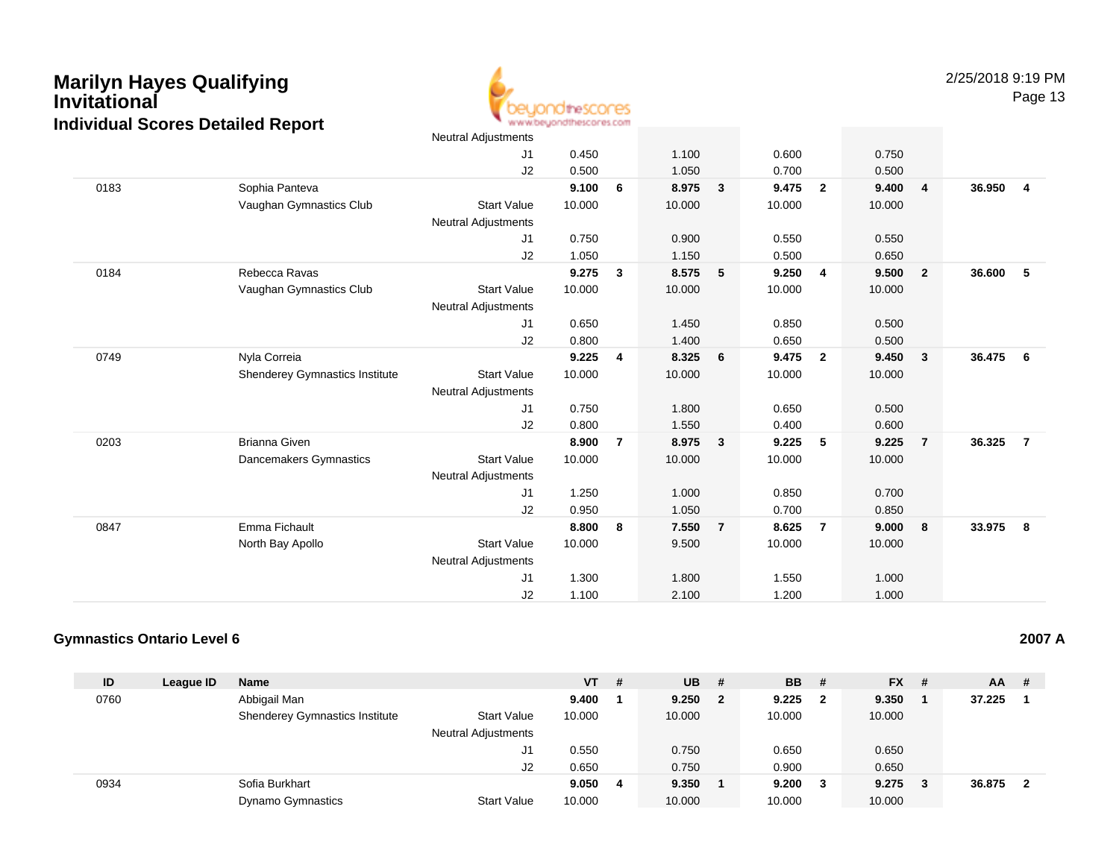

Page 13

|      |                                       | Neutral Adjustments        |        |                |        |                |        |                         |        |                         |        |                         |
|------|---------------------------------------|----------------------------|--------|----------------|--------|----------------|--------|-------------------------|--------|-------------------------|--------|-------------------------|
|      |                                       | J1                         | 0.450  |                | 1.100  |                | 0.600  |                         | 0.750  |                         |        |                         |
|      |                                       | J2                         | 0.500  |                | 1.050  |                | 0.700  |                         | 0.500  |                         |        |                         |
| 0183 | Sophia Panteva                        |                            | 9.100  | 6              | 8.975  | $\mathbf{3}$   | 9.475  | $\mathbf{2}$            | 9.400  | $\overline{4}$          | 36.950 | $\overline{\mathbf{4}}$ |
|      | Vaughan Gymnastics Club               | <b>Start Value</b>         | 10.000 |                | 10.000 |                | 10.000 |                         | 10.000 |                         |        |                         |
|      |                                       | <b>Neutral Adjustments</b> |        |                |        |                |        |                         |        |                         |        |                         |
|      |                                       | J1                         | 0.750  |                | 0.900  |                | 0.550  |                         | 0.550  |                         |        |                         |
|      |                                       | J2                         | 1.050  |                | 1.150  |                | 0.500  |                         | 0.650  |                         |        |                         |
| 0184 | Rebecca Ravas                         |                            | 9.275  | 3              | 8.575  | 5              | 9.250  | $\overline{\mathbf{4}}$ | 9.500  | $\overline{\mathbf{2}}$ | 36.600 | - 5                     |
|      | Vaughan Gymnastics Club               | <b>Start Value</b>         | 10.000 |                | 10.000 |                | 10.000 |                         | 10.000 |                         |        |                         |
|      |                                       | <b>Neutral Adjustments</b> |        |                |        |                |        |                         |        |                         |        |                         |
|      |                                       | J1                         | 0.650  |                | 1.450  |                | 0.850  |                         | 0.500  |                         |        |                         |
|      |                                       | J2                         | 0.800  |                | 1.400  |                | 0.650  |                         | 0.500  |                         |        |                         |
| 0749 | Nyla Correia                          |                            | 9.225  | $\overline{4}$ | 8.325  | 6              | 9.475  | $\overline{2}$          | 9.450  | $\overline{\mathbf{3}}$ | 36.475 | 6                       |
|      | <b>Shenderey Gymnastics Institute</b> | <b>Start Value</b>         | 10.000 |                | 10.000 |                | 10.000 |                         | 10.000 |                         |        |                         |
|      |                                       | <b>Neutral Adjustments</b> |        |                |        |                |        |                         |        |                         |        |                         |
|      |                                       | J1                         | 0.750  |                | 1.800  |                | 0.650  |                         | 0.500  |                         |        |                         |
|      |                                       | J2                         | 0.800  |                | 1.550  |                | 0.400  |                         | 0.600  |                         |        |                         |
| 0203 | <b>Brianna Given</b>                  |                            | 8.900  | $\overline{7}$ | 8.975  | $\mathbf{3}$   | 9.225  | 5                       | 9.225  | $\overline{7}$          | 36.325 | $\overline{7}$          |
|      | Dancemakers Gymnastics                | <b>Start Value</b>         | 10.000 |                | 10.000 |                | 10.000 |                         | 10.000 |                         |        |                         |
|      |                                       | <b>Neutral Adjustments</b> |        |                |        |                |        |                         |        |                         |        |                         |
|      |                                       | J1                         | 1.250  |                | 1.000  |                | 0.850  |                         | 0.700  |                         |        |                         |
|      |                                       | J2                         | 0.950  |                | 1.050  |                | 0.700  |                         | 0.850  |                         |        |                         |
| 0847 | Emma Fichault                         |                            | 8.800  | 8              | 7.550  | $\overline{7}$ | 8.625  | $\overline{7}$          | 9.000  | $\bf{8}$                | 33.975 | 8                       |
|      | North Bay Apollo                      | <b>Start Value</b>         | 10.000 |                | 9.500  |                | 10.000 |                         | 10.000 |                         |        |                         |
|      |                                       | <b>Neutral Adjustments</b> |        |                |        |                |        |                         |        |                         |        |                         |
|      |                                       | J1                         | 1.300  |                | 1.800  |                | 1.550  |                         | 1.000  |                         |        |                         |
|      |                                       | J2                         | 1.100  |                | 2.100  |                | 1.200  |                         | 1.000  |                         |        |                         |

#### **Gymnastics Ontario Level 6**

| ID   | League ID | <b>Name</b>                           |                            | $VT$ # |   | <b>UB</b> | - # | <b>BB</b> | - #                     | <b>FX</b> | - # | <b>AA</b> | #  |
|------|-----------|---------------------------------------|----------------------------|--------|---|-----------|-----|-----------|-------------------------|-----------|-----|-----------|----|
| 0760 |           | Abbigail Man                          |                            | 9.400  |   | 9.250     | 2   | 9.225     | $\overline{\mathbf{2}}$ | 9.350     |     | 37.225    |    |
|      |           | <b>Shenderey Gymnastics Institute</b> | <b>Start Value</b>         | 10.000 |   | 10.000    |     | 10.000    |                         | 10.000    |     |           |    |
|      |           |                                       | <b>Neutral Adjustments</b> |        |   |           |     |           |                         |           |     |           |    |
|      |           |                                       | JI                         | 0.550  |   | 0.750     |     | 0.650     |                         | 0.650     |     |           |    |
|      |           |                                       | J2                         | 0.650  |   | 0.750     |     | 0.900     |                         | 0.650     |     |           |    |
| 0934 |           | Sofia Burkhart                        |                            | 9.050  | 4 | 9.350     |     | 9.200     | $_{3}$                  | 9.275     | - 3 | 36.875    | -2 |
|      |           | <b>Dynamo Gymnastics</b>              | <b>Start Value</b>         | 10.000 |   | 10.000    |     | 10.000    |                         | 10.000    |     |           |    |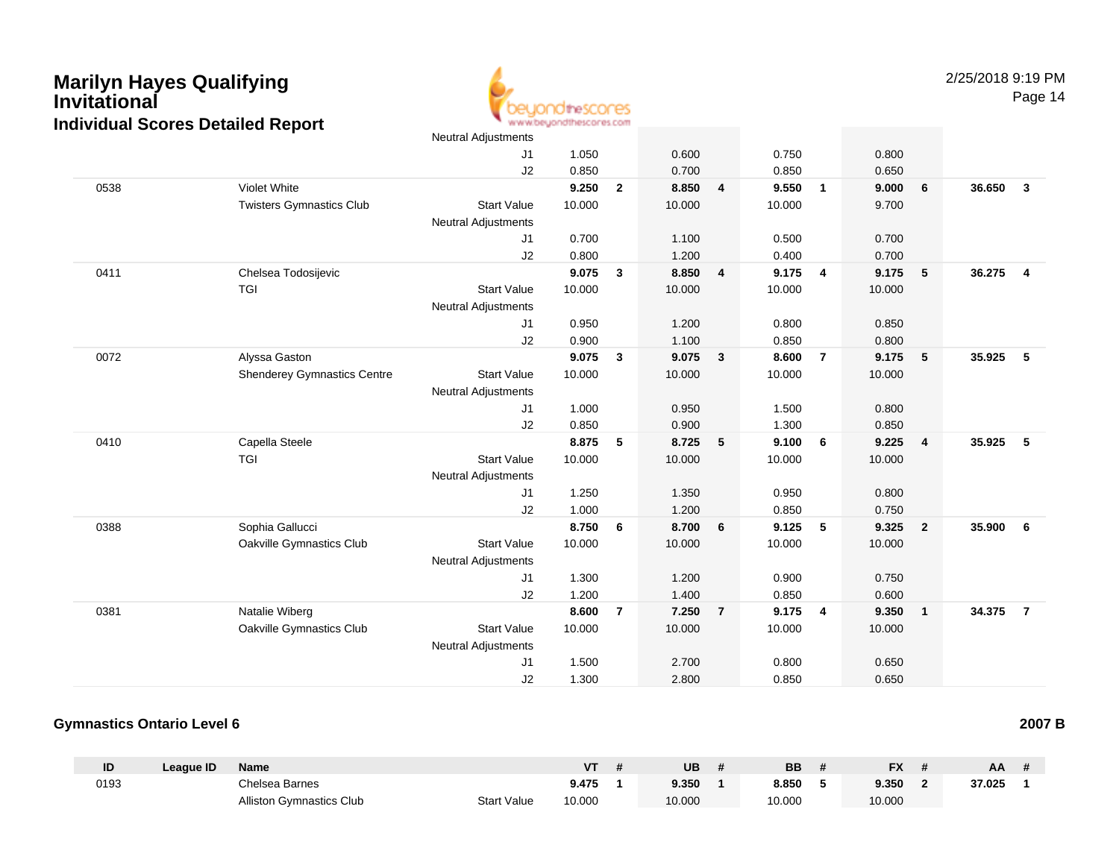

|      |                                    | Neutral Adjustments        |        |              |        |                         |        |                         |        |                         |        |                         |
|------|------------------------------------|----------------------------|--------|--------------|--------|-------------------------|--------|-------------------------|--------|-------------------------|--------|-------------------------|
|      |                                    | J1                         | 1.050  |              | 0.600  |                         | 0.750  |                         | 0.800  |                         |        |                         |
|      |                                    | J2                         | 0.850  |              | 0.700  |                         | 0.850  |                         | 0.650  |                         |        |                         |
| 0538 | Violet White                       |                            | 9.250  | $\mathbf{2}$ | 8.850  | $\overline{\mathbf{4}}$ | 9.550  | $\overline{1}$          | 9.000  | 6                       | 36.650 | $\overline{\mathbf{3}}$ |
|      | <b>Twisters Gymnastics Club</b>    | <b>Start Value</b>         | 10.000 |              | 10.000 |                         | 10.000 |                         | 9.700  |                         |        |                         |
|      |                                    | Neutral Adjustments        |        |              |        |                         |        |                         |        |                         |        |                         |
|      |                                    | J1                         | 0.700  |              | 1.100  |                         | 0.500  |                         | 0.700  |                         |        |                         |
|      |                                    | J2                         | 0.800  |              | 1.200  |                         | 0.400  |                         | 0.700  |                         |        |                         |
| 0411 | Chelsea Todosijevic                |                            | 9.075  | $\mathbf{3}$ | 8.850  | $\overline{4}$          | 9.175  | $\overline{\mathbf{4}}$ | 9.175  | $\sqrt{5}$              | 36.275 | $\overline{4}$          |
|      | TGI                                | <b>Start Value</b>         | 10.000 |              | 10.000 |                         | 10.000 |                         | 10.000 |                         |        |                         |
|      |                                    | Neutral Adjustments        |        |              |        |                         |        |                         |        |                         |        |                         |
|      |                                    | J1                         | 0.950  |              | 1.200  |                         | 0.800  |                         | 0.850  |                         |        |                         |
|      |                                    | J2                         | 0.900  |              | 1.100  |                         | 0.850  |                         | 0.800  |                         |        |                         |
| 0072 | Alyssa Gaston                      |                            | 9.075  | 3            | 9.075  | $\mathbf{3}$            | 8.600  | $\overline{7}$          | 9.175  | 5                       | 35.925 | -5                      |
|      | <b>Shenderey Gymnastics Centre</b> | <b>Start Value</b>         | 10.000 |              | 10.000 |                         | 10.000 |                         | 10.000 |                         |        |                         |
|      |                                    | <b>Neutral Adjustments</b> |        |              |        |                         |        |                         |        |                         |        |                         |
|      |                                    | J1                         | 1.000  |              | 0.950  |                         | 1.500  |                         | 0.800  |                         |        |                         |
|      |                                    | J2                         | 0.850  |              | 0.900  |                         | 1.300  |                         | 0.850  |                         |        |                         |
| 0410 | Capella Steele                     |                            | 8.875  | 5            | 8.725  | 5                       | 9.100  | 6                       | 9.225  | $\overline{4}$          | 35.925 | 5                       |
|      | <b>TGI</b>                         | <b>Start Value</b>         | 10.000 |              | 10.000 |                         | 10.000 |                         | 10.000 |                         |        |                         |
|      |                                    | Neutral Adjustments        |        |              |        |                         |        |                         |        |                         |        |                         |
|      |                                    | J1                         | 1.250  |              | 1.350  |                         | 0.950  |                         | 0.800  |                         |        |                         |
|      |                                    | J2                         | 1.000  |              | 1.200  |                         | 0.850  |                         | 0.750  |                         |        |                         |
| 0388 | Sophia Gallucci                    |                            | 8.750  | 6            | 8.700  | 6                       | 9.125  | $5\phantom{.0}$         | 9.325  | $\overline{\mathbf{2}}$ | 35.900 | 6                       |
|      | Oakville Gymnastics Club           | <b>Start Value</b>         | 10.000 |              | 10.000 |                         | 10.000 |                         | 10.000 |                         |        |                         |
|      |                                    | Neutral Adjustments        |        |              |        |                         |        |                         |        |                         |        |                         |
|      |                                    | J <sub>1</sub>             | 1.300  |              | 1.200  |                         | 0.900  |                         | 0.750  |                         |        |                         |
|      |                                    | J2                         | 1.200  |              | 1.400  |                         | 0.850  |                         | 0.600  |                         |        |                         |
| 0381 | Natalie Wiberg                     |                            | 8.600  | 7            | 7.250  | $\overline{7}$          | 9.175  | $\overline{\mathbf{4}}$ | 9.350  | $\overline{\mathbf{1}}$ | 34.375 | $\overline{7}$          |
|      | Oakville Gymnastics Club           | <b>Start Value</b>         | 10.000 |              | 10.000 |                         | 10.000 |                         | 10.000 |                         |        |                         |
|      |                                    | <b>Neutral Adjustments</b> |        |              |        |                         |        |                         |        |                         |        |                         |
|      |                                    | J1                         | 1.500  |              | 2.700  |                         | 0.800  |                         | 0.650  |                         |        |                         |
|      |                                    | J2                         | 1.300  |              | 2.800  |                         | 0.850  |                         | 0.650  |                         |        |                         |
|      |                                    |                            |        |              |        |                         |        |                         |        |                         |        |                         |

#### **Gymnastics Ontario Level 6**

| ID   | League ID | <b>Name</b>                     |                    | ۷Τ     | <b>UB</b> | BB     | <b>FX</b> | AA     |  |
|------|-----------|---------------------------------|--------------------|--------|-----------|--------|-----------|--------|--|
| 0193 |           | Chelsea Barnes                  |                    | 9.475  | 9.350     | 8.850  | 9.350     | 37.025 |  |
|      |           | <b>Alliston Gymnastics Club</b> | <b>Start Value</b> | 10.000 | 10.000    | 10.000 | 10.000    |        |  |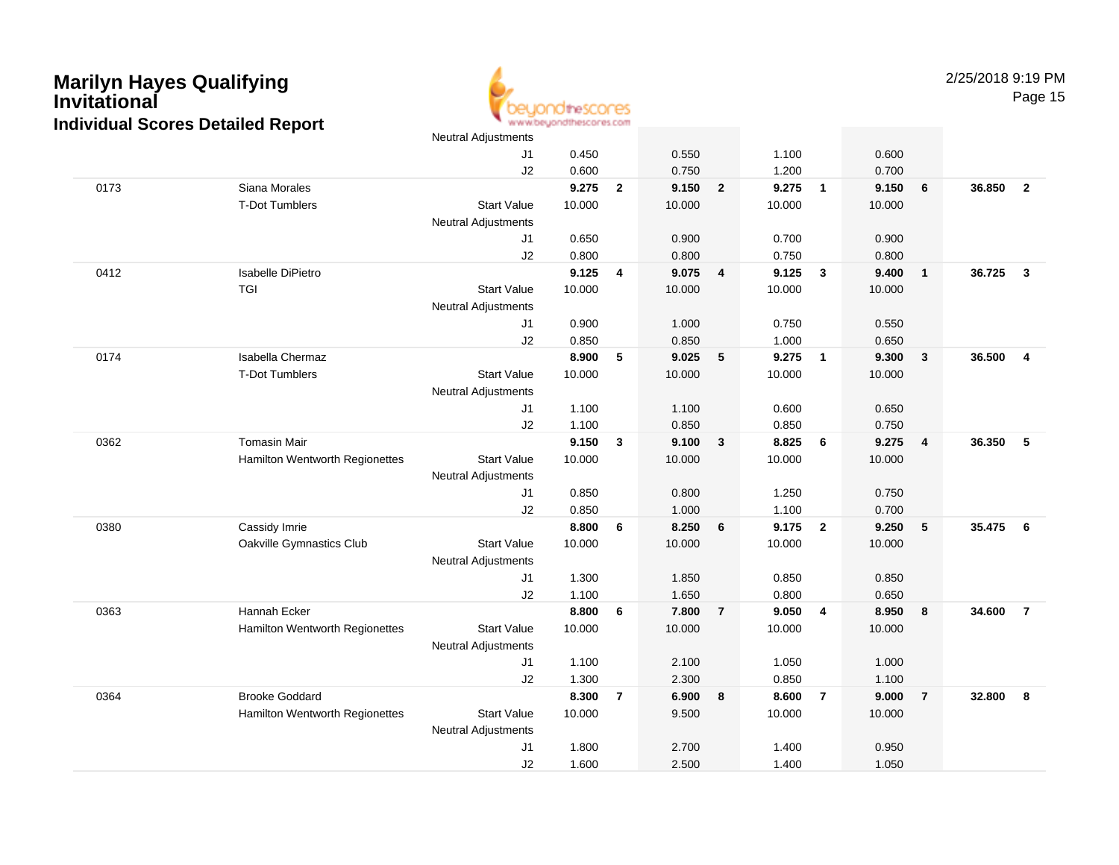

|      |                                | <b>Neutral Adjustments</b> |        |                |        |                 |        |                          |        |                 |        |                         |
|------|--------------------------------|----------------------------|--------|----------------|--------|-----------------|--------|--------------------------|--------|-----------------|--------|-------------------------|
|      |                                | J1                         | 0.450  |                | 0.550  |                 | 1.100  |                          | 0.600  |                 |        |                         |
|      |                                | J <sub>2</sub>             | 0.600  |                | 0.750  |                 | 1.200  |                          | 0.700  |                 |        |                         |
| 0173 | Siana Morales                  |                            | 9.275  | $\overline{2}$ | 9.150  | $\overline{2}$  | 9.275  | $\overline{\phantom{a}}$ | 9.150  | $6\phantom{1}6$ | 36.850 | $\overline{2}$          |
|      | <b>T-Dot Tumblers</b>          | <b>Start Value</b>         | 10.000 |                | 10.000 |                 | 10.000 |                          | 10.000 |                 |        |                         |
|      |                                | <b>Neutral Adjustments</b> |        |                |        |                 |        |                          |        |                 |        |                         |
|      |                                | J1                         | 0.650  |                | 0.900  |                 | 0.700  |                          | 0.900  |                 |        |                         |
|      |                                | J2                         | 0.800  |                | 0.800  |                 | 0.750  |                          | 0.800  |                 |        |                         |
| 0412 | Isabelle DiPietro              |                            | 9.125  | 4              | 9.075  | $\overline{4}$  | 9.125  | $\mathbf{3}$             | 9.400  | $\overline{1}$  | 36.725 | $\mathbf{3}$            |
|      | <b>TGI</b>                     | <b>Start Value</b>         | 10.000 |                | 10.000 |                 | 10.000 |                          | 10.000 |                 |        |                         |
|      |                                | <b>Neutral Adjustments</b> |        |                |        |                 |        |                          |        |                 |        |                         |
|      |                                | J1                         | 0.900  |                | 1.000  |                 | 0.750  |                          | 0.550  |                 |        |                         |
|      |                                | J2                         | 0.850  |                | 0.850  |                 | 1.000  |                          | 0.650  |                 |        |                         |
| 0174 | Isabella Chermaz               |                            | 8.900  | 5              | 9.025  | $5\phantom{.0}$ | 9.275  | $\overline{1}$           | 9.300  | $\mathbf{3}$    | 36.500 | $\overline{\mathbf{4}}$ |
|      | <b>T-Dot Tumblers</b>          | <b>Start Value</b>         | 10.000 |                | 10.000 |                 | 10.000 |                          | 10.000 |                 |        |                         |
|      |                                | <b>Neutral Adjustments</b> |        |                |        |                 |        |                          |        |                 |        |                         |
|      |                                | J1                         | 1.100  |                | 1.100  |                 | 0.600  |                          | 0.650  |                 |        |                         |
|      |                                | J <sub>2</sub>             | 1.100  |                | 0.850  |                 | 0.850  |                          | 0.750  |                 |        |                         |
| 0362 | <b>Tomasin Mair</b>            |                            | 9.150  | 3              | 9.100  | $\mathbf{3}$    | 8.825  | 6                        | 9.275  | $\overline{4}$  | 36.350 | - 5                     |
|      | Hamilton Wentworth Regionettes | <b>Start Value</b>         | 10.000 |                | 10.000 |                 | 10.000 |                          | 10.000 |                 |        |                         |
|      |                                | <b>Neutral Adjustments</b> |        |                |        |                 |        |                          |        |                 |        |                         |
|      |                                | J1                         | 0.850  |                | 0.800  |                 | 1.250  |                          | 0.750  |                 |        |                         |
|      |                                | J2                         | 0.850  |                | 1.000  |                 | 1.100  |                          | 0.700  |                 |        |                         |
| 0380 | Cassidy Imrie                  |                            | 8.800  | 6              | 8.250  | 6               | 9.175  | $\overline{2}$           | 9.250  | $5\phantom{.0}$ | 35.475 | 6                       |
|      | Oakville Gymnastics Club       | <b>Start Value</b>         | 10.000 |                | 10.000 |                 | 10.000 |                          | 10.000 |                 |        |                         |
|      |                                | <b>Neutral Adjustments</b> |        |                |        |                 |        |                          |        |                 |        |                         |
|      |                                | J1                         | 1.300  |                | 1.850  |                 | 0.850  |                          | 0.850  |                 |        |                         |
|      |                                | J2                         | 1.100  |                | 1.650  |                 | 0.800  |                          | 0.650  |                 |        |                         |
| 0363 | Hannah Ecker                   |                            | 8.800  | 6              | 7.800  | $\overline{7}$  | 9.050  | $\overline{4}$           | 8.950  | 8               | 34.600 | $\overline{7}$          |
|      | Hamilton Wentworth Regionettes | <b>Start Value</b>         | 10.000 |                | 10.000 |                 | 10.000 |                          | 10.000 |                 |        |                         |
|      |                                | <b>Neutral Adjustments</b> |        |                |        |                 |        |                          |        |                 |        |                         |
|      |                                | J1                         | 1.100  |                | 2.100  |                 | 1.050  |                          | 1.000  |                 |        |                         |
|      |                                | J2                         | 1.300  |                | 2.300  |                 | 0.850  |                          | 1.100  |                 |        |                         |
| 0364 | <b>Brooke Goddard</b>          |                            | 8.300  | $\overline{7}$ | 6.900  | 8               | 8.600  | $\overline{7}$           | 9.000  | $\overline{7}$  | 32.800 | -8                      |
|      | Hamilton Wentworth Regionettes | <b>Start Value</b>         | 10.000 |                | 9.500  |                 | 10.000 |                          | 10.000 |                 |        |                         |
|      |                                | <b>Neutral Adjustments</b> |        |                |        |                 |        |                          |        |                 |        |                         |
|      |                                | J1                         | 1.800  |                | 2.700  |                 | 1.400  |                          | 0.950  |                 |        |                         |
|      |                                | J2                         | 1.600  |                | 2.500  |                 | 1.400  |                          | 1.050  |                 |        |                         |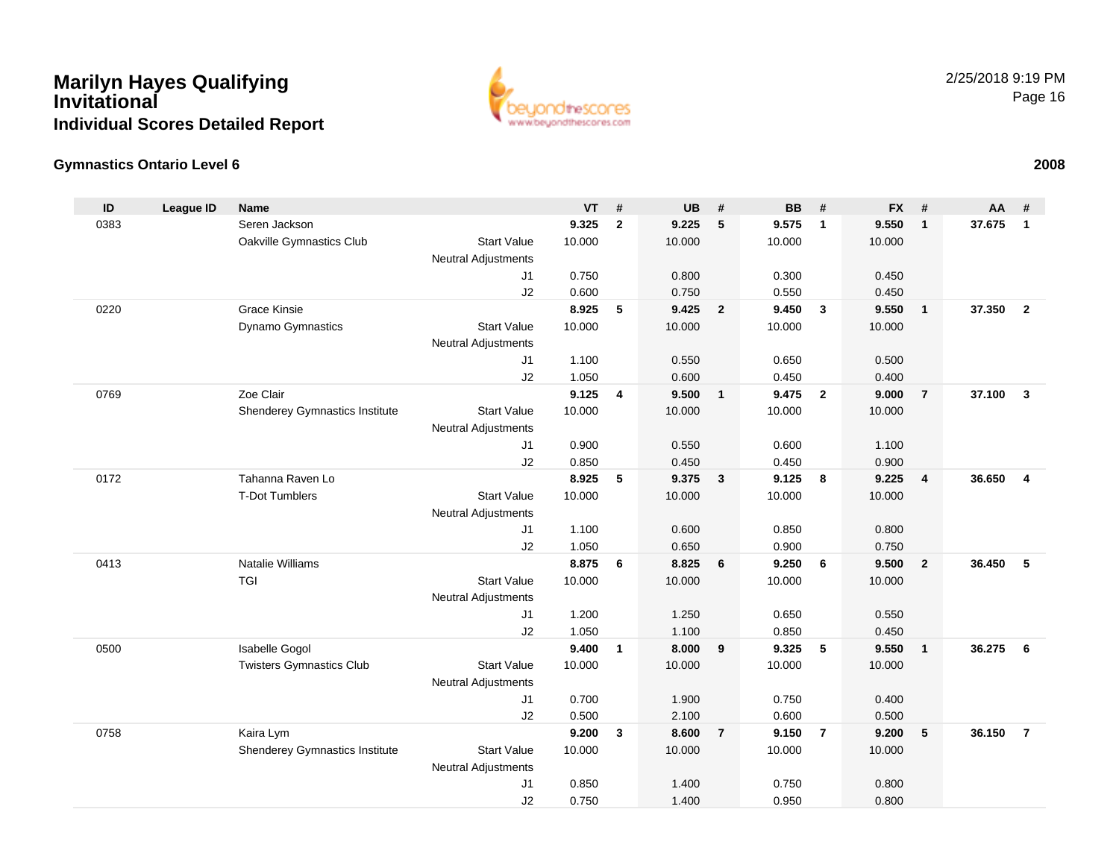

#### **Gymnastics Ontario Level 6**

| ID   | <b>League ID</b> | <b>Name</b>                     |                            | <b>VT</b>      | #            | <b>UB</b>      | #                       | <b>BB</b>      | #              | <b>FX</b> | #                       | <b>AA</b> | #                       |
|------|------------------|---------------------------------|----------------------------|----------------|--------------|----------------|-------------------------|----------------|----------------|-----------|-------------------------|-----------|-------------------------|
| 0383 |                  | Seren Jackson                   |                            | 9.325          | $\mathbf{2}$ | 9.225          | 5                       | 9.575          | $\mathbf{1}$   | 9.550     | $\mathbf{1}$            | 37.675    | $\mathbf{1}$            |
|      |                  | Oakville Gymnastics Club        | <b>Start Value</b>         | 10.000         |              | 10.000         |                         | 10.000         |                | 10.000    |                         |           |                         |
|      |                  |                                 | <b>Neutral Adjustments</b> |                |              |                |                         |                |                |           |                         |           |                         |
|      |                  |                                 | J <sub>1</sub>             | 0.750          |              | 0.800          |                         | 0.300          |                | 0.450     |                         |           |                         |
|      |                  |                                 | J2                         | 0.600          |              | 0.750          |                         | 0.550          |                | 0.450     |                         |           |                         |
| 0220 |                  | Grace Kinsie                    |                            | 8.925          | 5            | 9.425          | $\overline{\mathbf{2}}$ | 9.450          | $\mathbf{3}$   | 9.550     | $\mathbf{1}$            | 37.350    | $\overline{2}$          |
|      |                  | Dynamo Gymnastics               | <b>Start Value</b>         | 10.000         |              | 10.000         |                         | 10.000         |                | 10.000    |                         |           |                         |
|      |                  |                                 | Neutral Adjustments        |                |              |                |                         |                |                |           |                         |           |                         |
|      |                  |                                 | J <sub>1</sub>             | 1.100          |              | 0.550          |                         | 0.650          |                | 0.500     |                         |           |                         |
|      |                  |                                 | J2                         | 1.050          |              | 0.600          |                         | 0.450          |                | 0.400     |                         |           |                         |
| 0769 |                  | Zoe Clair                       |                            | 9.125          | 4            | 9.500          | $\overline{1}$          | 9.475          | $\overline{2}$ | 9.000     | $\overline{7}$          | 37.100    | $\overline{\mathbf{3}}$ |
|      |                  | Shenderey Gymnastics Institute  | <b>Start Value</b>         | 10.000         |              | 10.000         |                         | 10.000         |                | 10.000    |                         |           |                         |
|      |                  |                                 | <b>Neutral Adjustments</b> |                |              |                |                         |                |                |           |                         |           |                         |
|      |                  |                                 | J1                         | 0.900          |              | 0.550          |                         | 0.600          |                | 1.100     |                         |           |                         |
|      |                  |                                 | J2                         | 0.850          |              | 0.450          |                         | 0.450          |                | 0.900     |                         |           |                         |
| 0172 |                  | Tahanna Raven Lo                |                            | 8.925          | 5            | 9.375          | $\overline{\mathbf{3}}$ | 9.125          | 8              | 9.225     | $\overline{\mathbf{4}}$ | 36.650    | $\overline{4}$          |
|      |                  | <b>T-Dot Tumblers</b>           | <b>Start Value</b>         | 10.000         |              | 10.000         |                         | 10.000         |                | 10.000    |                         |           |                         |
|      |                  |                                 | <b>Neutral Adjustments</b> |                |              |                |                         |                |                |           |                         |           |                         |
|      |                  |                                 | J <sub>1</sub>             | 1.100          |              | 0.600          |                         | 0.850          |                | 0.800     |                         |           |                         |
| 0413 |                  | Natalie Williams                | J2                         | 1.050<br>8.875 |              | 0.650<br>8.825 |                         | 0.900<br>9.250 | 6              | 0.750     |                         | 36.450    | 5                       |
|      |                  | <b>TGI</b>                      | <b>Start Value</b>         |                | 6            |                | 6                       |                |                | 9.500     | $\overline{2}$          |           |                         |
|      |                  |                                 |                            | 10.000         |              | 10.000         |                         | 10.000         |                | 10.000    |                         |           |                         |
|      |                  |                                 | <b>Neutral Adjustments</b> | 1.200          |              | 1.250          |                         | 0.650          |                | 0.550     |                         |           |                         |
|      |                  |                                 | J1<br>J2                   | 1.050          |              | 1.100          |                         | 0.850          |                | 0.450     |                         |           |                         |
| 0500 |                  | Isabelle Gogol                  |                            | 9.400          | $\mathbf{1}$ | 8.000          | 9                       | 9.325          | 5              | 9.550     | $\mathbf{1}$            | 36.275    | 6                       |
|      |                  | <b>Twisters Gymnastics Club</b> | <b>Start Value</b>         | 10.000         |              | 10.000         |                         | 10.000         |                | 10.000    |                         |           |                         |
|      |                  |                                 | Neutral Adjustments        |                |              |                |                         |                |                |           |                         |           |                         |
|      |                  |                                 | J1                         | 0.700          |              | 1.900          |                         | 0.750          |                | 0.400     |                         |           |                         |
|      |                  |                                 | J2                         | 0.500          |              | 2.100          |                         | 0.600          |                | 0.500     |                         |           |                         |
| 0758 |                  | Kaira Lym                       |                            | 9.200          | $\mathbf{3}$ | 8.600          | $\overline{7}$          | 9.150          | $\overline{7}$ | 9.200     | 5                       | 36.150    | $\overline{7}$          |
|      |                  | Shenderey Gymnastics Institute  | <b>Start Value</b>         | 10.000         |              | 10.000         |                         | 10.000         |                | 10.000    |                         |           |                         |
|      |                  |                                 | Neutral Adjustments        |                |              |                |                         |                |                |           |                         |           |                         |
|      |                  |                                 | J1                         | 0.850          |              | 1.400          |                         | 0.750          |                | 0.800     |                         |           |                         |
|      |                  |                                 | J2                         | 0.750          |              | 1.400          |                         | 0.950          |                | 0.800     |                         |           |                         |
|      |                  |                                 |                            |                |              |                |                         |                |                |           |                         |           |                         |

#### **<sup>2008</sup>**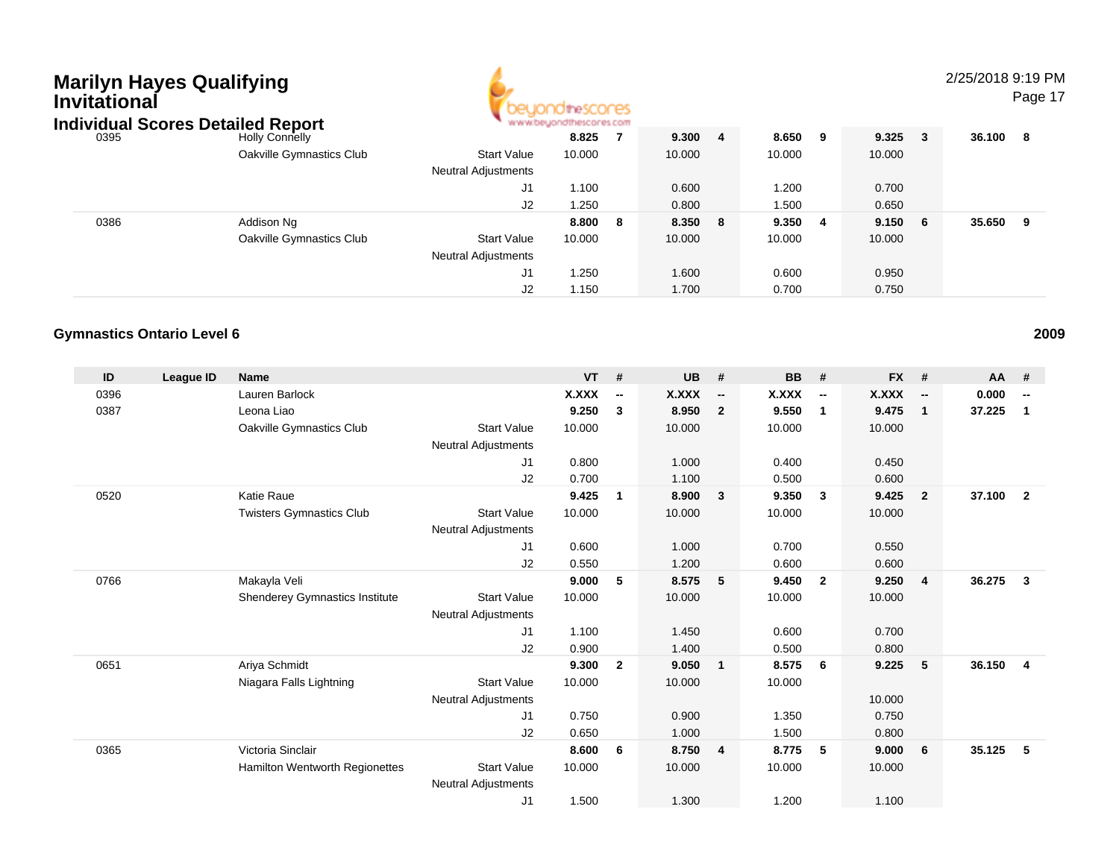| Marilyn Hayes Qualifying<br>Invitational<br><b>Individual Scores Detailed Report</b> |      |                          |                            |        |   |         |    |        |   |        |              | 2/25/2018 9:19 | Pag |
|--------------------------------------------------------------------------------------|------|--------------------------|----------------------------|--------|---|---------|----|--------|---|--------|--------------|----------------|-----|
|                                                                                      | 0395 | <b>Holly Connelly</b>    |                            | 8.825  |   | 9.300   | -4 | 8.650  | 9 | 9.325  | $\mathbf{3}$ | 36.100 8       |     |
|                                                                                      |      | Oakville Gymnastics Club | <b>Start Value</b>         | 10.000 |   | 10.000  |    | 10.000 |   | 10.000 |              |                |     |
|                                                                                      |      |                          | <b>Neutral Adjustments</b> |        |   |         |    |        |   |        |              |                |     |
|                                                                                      |      |                          | J1                         | 1.100  |   | 0.600   |    | 1.200  |   | 0.700  |              |                |     |
|                                                                                      |      |                          | J2                         | 1.250  |   | 0.800   |    | 1.500  |   | 0.650  |              |                |     |
|                                                                                      | 0386 | Addison Ng               |                            | 8.800  | 8 | 8.350 8 |    | 9.350  | 4 | 9.150  | 6            | 35.650 9       |     |
|                                                                                      |      | Oakville Gymnastics Club | <b>Start Value</b>         | 10.000 |   | 10.000  |    | 10.000 |   | 10.000 |              |                |     |
|                                                                                      |      |                          | <b>Neutral Adjustments</b> |        |   |         |    |        |   |        |              |                |     |
|                                                                                      |      |                          | J1                         | 1.250  |   | 1.600   |    | 0.600  |   | 0.950  |              |                |     |
|                                                                                      |      |                          |                            |        |   |         |    |        |   |        |              |                |     |

J2

1.150 1.700 0.700 0.750

#### **Gymnastics Ontario Level 6**

| ID   | League ID | <b>Name</b>                     |                            | <b>VT</b>    | #                        | <b>UB</b> | #                        | <b>BB</b> | #                        | <b>FX</b>    | #                        | AA     | #                        |
|------|-----------|---------------------------------|----------------------------|--------------|--------------------------|-----------|--------------------------|-----------|--------------------------|--------------|--------------------------|--------|--------------------------|
| 0396 |           | Lauren Barlock                  |                            | <b>X.XXX</b> | $\overline{\phantom{a}}$ | X.XXX     | $\overline{\phantom{a}}$ | X.XXX     | $\overline{\phantom{a}}$ | <b>X.XXX</b> | $\overline{\phantom{a}}$ | 0.000  | $\overline{\phantom{a}}$ |
| 0387 |           | Leona Liao                      |                            | 9.250        | 3                        | 8.950     | $\overline{2}$           | 9.550     | $\overline{1}$           | 9.475        | $\mathbf{1}$             | 37.225 | 1                        |
|      |           | Oakville Gymnastics Club        | <b>Start Value</b>         | 10.000       |                          | 10.000    |                          | 10.000    |                          | 10.000       |                          |        |                          |
|      |           |                                 | Neutral Adjustments        |              |                          |           |                          |           |                          |              |                          |        |                          |
|      |           |                                 | J <sub>1</sub>             | 0.800        |                          | 1.000     |                          | 0.400     |                          | 0.450        |                          |        |                          |
|      |           |                                 | J2                         | 0.700        |                          | 1.100     |                          | 0.500     |                          | 0.600        |                          |        |                          |
| 0520 |           | Katie Raue                      |                            | 9.425        | 1                        | 8.900     | $\overline{\mathbf{3}}$  | 9.350     | $\mathbf{3}$             | 9.425        | $\overline{2}$           | 37.100 | $\overline{2}$           |
|      |           | <b>Twisters Gymnastics Club</b> | <b>Start Value</b>         | 10.000       |                          | 10.000    |                          | 10.000    |                          | 10.000       |                          |        |                          |
|      |           |                                 | Neutral Adjustments        |              |                          |           |                          |           |                          |              |                          |        |                          |
|      |           |                                 | J <sub>1</sub>             | 0.600        |                          | 1.000     |                          | 0.700     |                          | 0.550        |                          |        |                          |
|      |           |                                 | J <sub>2</sub>             | 0.550        |                          | 1.200     |                          | 0.600     |                          | 0.600        |                          |        |                          |
| 0766 |           | Makayla Veli                    |                            | 9.000        | 5                        | 8.575     | 5                        | 9.450     | $\overline{2}$           | 9.250        | $\overline{4}$           | 36.275 | $\mathbf{3}$             |
|      |           | Shenderey Gymnastics Institute  | <b>Start Value</b>         | 10.000       |                          | 10.000    |                          | 10.000    |                          | 10.000       |                          |        |                          |
|      |           |                                 | <b>Neutral Adjustments</b> |              |                          |           |                          |           |                          |              |                          |        |                          |
|      |           |                                 | J1                         | 1.100        |                          | 1.450     |                          | 0.600     |                          | 0.700        |                          |        |                          |
|      |           |                                 | J <sub>2</sub>             | 0.900        |                          | 1.400     |                          | 0.500     |                          | 0.800        |                          |        |                          |
| 0651 |           | Ariya Schmidt                   |                            | 9.300        | $\overline{2}$           | 9.050     | $\blacksquare$           | 8.575     | 6                        | 9.225        | 5                        | 36.150 | $\overline{4}$           |
|      |           | Niagara Falls Lightning         | <b>Start Value</b>         | 10.000       |                          | 10.000    |                          | 10.000    |                          |              |                          |        |                          |
|      |           |                                 | <b>Neutral Adjustments</b> |              |                          |           |                          |           |                          | 10.000       |                          |        |                          |
|      |           |                                 | J <sub>1</sub>             | 0.750        |                          | 0.900     |                          | 1.350     |                          | 0.750        |                          |        |                          |
|      |           |                                 | J2                         | 0.650        |                          | 1.000     |                          | 1.500     |                          | 0.800        |                          |        |                          |
| 0365 |           | Victoria Sinclair               |                            | 8.600        | 6                        | 8.750     | $\overline{4}$           | 8.775     | -5                       | 9.000        | 6                        | 35.125 | 5                        |
|      |           | Hamilton Wentworth Regionettes  | <b>Start Value</b>         | 10.000       |                          | 10.000    |                          | 10.000    |                          | 10.000       |                          |        |                          |
|      |           |                                 | <b>Neutral Adjustments</b> |              |                          |           |                          |           |                          |              |                          |        |                          |
|      |           |                                 | J <sub>1</sub>             | 1.500        |                          | 1.300     |                          | 1.200     |                          | 1.100        |                          |        |                          |

**<sup>2009</sup>**

### 9 PM

Page 17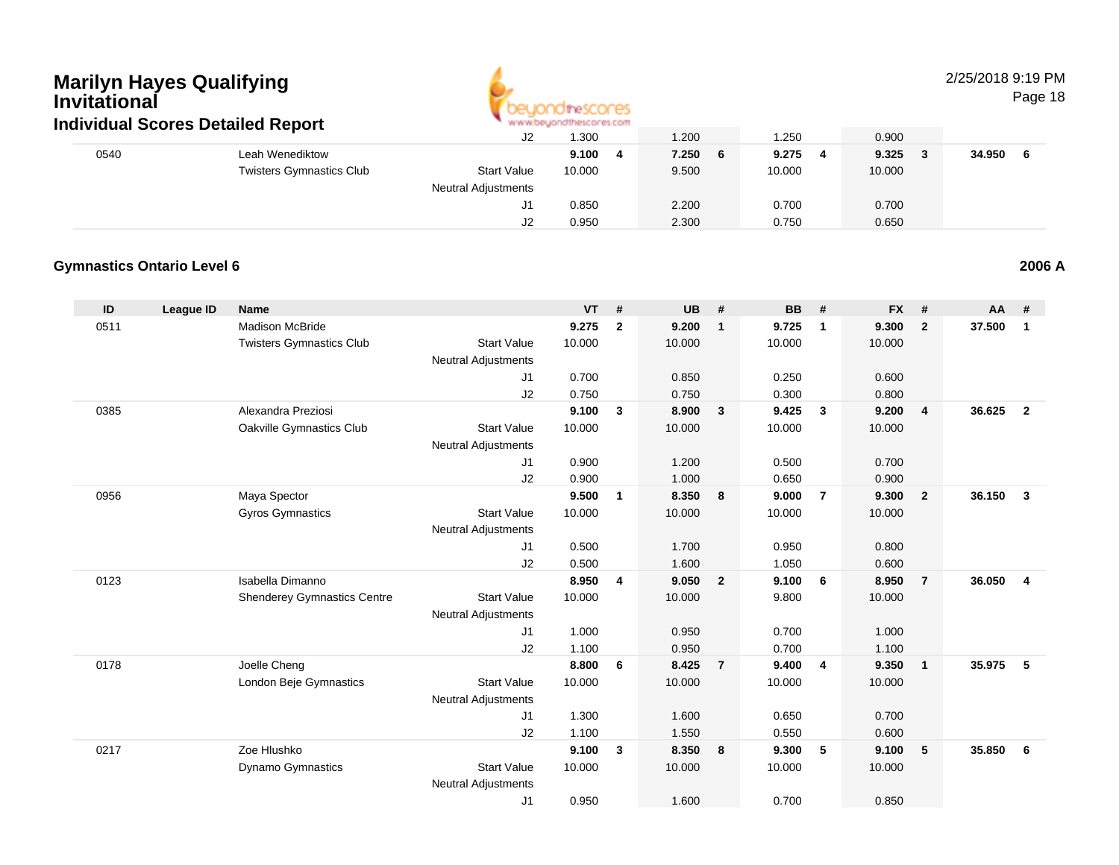

2/25/2018 9:19 PM

Page 18

|      | Individual Scores Detailed Report |                            | ALALAM AN' DISAPPOR SOLUI MUSICIPI. INSERIE |            |        |        |        |
|------|-----------------------------------|----------------------------|---------------------------------------------|------------|--------|--------|--------|
|      |                                   | J2                         | 1.300                                       | 1.200      | .250   | 0.900  |        |
| 0540 | Leah Wenediktow                   |                            | 9.100<br>- 4                                | 7.250<br>6 | 9.275  | 9.325  | 34.950 |
|      | <b>Twisters Gymnastics Club</b>   | <b>Start Value</b>         | 10.000                                      | 9.500      | 10.000 | 10.000 |        |
|      |                                   | <b>Neutral Adjustments</b> |                                             |            |        |        |        |
|      |                                   | J1                         | 0.850                                       | 2.200      | 0.700  | 0.700  |        |
|      |                                   | J2                         | 0.950                                       | 2.300      | 0.750  | 0.650  |        |

#### **Gymnastics Ontario Level 6**

| ID   | <b>League ID</b> | <b>Name</b>                        |                            | <b>VT</b> | #              | <b>UB</b> | #              | <b>BB</b> | #                       | <b>FX</b> | #              | AA     | #              |
|------|------------------|------------------------------------|----------------------------|-----------|----------------|-----------|----------------|-----------|-------------------------|-----------|----------------|--------|----------------|
| 0511 |                  | <b>Madison McBride</b>             |                            | 9.275     | $\overline{2}$ | 9.200     | $\mathbf{1}$   | 9.725     | $\overline{1}$          | 9.300     | $\overline{2}$ | 37.500 | $\mathbf{1}$   |
|      |                  | <b>Twisters Gymnastics Club</b>    | <b>Start Value</b>         | 10.000    |                | 10.000    |                | 10.000    |                         | 10.000    |                |        |                |
|      |                  |                                    | <b>Neutral Adjustments</b> |           |                |           |                |           |                         |           |                |        |                |
|      |                  |                                    | J1                         | 0.700     |                | 0.850     |                | 0.250     |                         | 0.600     |                |        |                |
|      |                  |                                    | J2                         | 0.750     |                | 0.750     |                | 0.300     |                         | 0.800     |                |        |                |
| 0385 |                  | Alexandra Preziosi                 |                            | 9.100     | 3              | 8.900     | $\mathbf{3}$   | 9.425     | $\mathbf{3}$            | 9.200     | $\overline{4}$ | 36.625 | $\overline{2}$ |
|      |                  | Oakville Gymnastics Club           | <b>Start Value</b>         | 10.000    |                | 10.000    |                | 10.000    |                         | 10.000    |                |        |                |
|      |                  |                                    | <b>Neutral Adjustments</b> |           |                |           |                |           |                         |           |                |        |                |
|      |                  |                                    | J <sub>1</sub>             | 0.900     |                | 1.200     |                | 0.500     |                         | 0.700     |                |        |                |
|      |                  |                                    | J2                         | 0.900     |                | 1.000     |                | 0.650     |                         | 0.900     |                |        |                |
| 0956 |                  | Maya Spector                       |                            | 9.500     | $\mathbf{1}$   | 8.350     | 8              | 9.000     | $\overline{7}$          | 9.300     | $\overline{2}$ | 36.150 | 3              |
|      |                  | <b>Gyros Gymnastics</b>            | <b>Start Value</b>         | 10.000    |                | 10.000    |                | 10.000    |                         | 10.000    |                |        |                |
|      |                  |                                    | <b>Neutral Adjustments</b> |           |                |           |                |           |                         |           |                |        |                |
|      |                  |                                    | J <sub>1</sub>             | 0.500     |                | 1.700     |                | 0.950     |                         | 0.800     |                |        |                |
|      |                  |                                    | J2                         | 0.500     |                | 1.600     |                | 1.050     |                         | 0.600     |                |        |                |
| 0123 |                  | Isabella Dimanno                   |                            | 8.950     | 4              | 9.050     | $\overline{2}$ | 9.100     | 6                       | 8.950     | $\overline{7}$ | 36.050 | 4              |
|      |                  | <b>Shenderey Gymnastics Centre</b> | <b>Start Value</b>         | 10.000    |                | 10.000    |                | 9.800     |                         | 10.000    |                |        |                |
|      |                  |                                    | Neutral Adjustments        |           |                |           |                |           |                         |           |                |        |                |
|      |                  |                                    | J <sub>1</sub>             | 1.000     |                | 0.950     |                | 0.700     |                         | 1.000     |                |        |                |
|      |                  |                                    | J <sub>2</sub>             | 1.100     |                | 0.950     |                | 0.700     |                         | 1.100     |                |        |                |
| 0178 |                  | Joelle Cheng                       |                            | 8.800     | 6              | 8.425     | $\overline{7}$ | 9.400     | $\overline{\mathbf{4}}$ | 9.350     | $\overline{1}$ | 35.975 | 5              |
|      |                  | London Beje Gymnastics             | <b>Start Value</b>         | 10.000    |                | 10.000    |                | 10.000    |                         | 10.000    |                |        |                |
|      |                  |                                    | <b>Neutral Adjustments</b> |           |                |           |                |           |                         |           |                |        |                |
|      |                  |                                    | J1                         | 1.300     |                | 1.600     |                | 0.650     |                         | 0.700     |                |        |                |
|      |                  |                                    | J2                         | 1.100     |                | 1.550     |                | 0.550     |                         | 0.600     |                |        |                |
| 0217 |                  | Zoe Hlushko                        |                            | 9.100     | 3              | 8.350     | 8              | 9.300     | 5                       | 9.100     | 5              | 35.850 | 6              |
|      |                  | Dynamo Gymnastics                  | <b>Start Value</b>         | 10.000    |                | 10.000    |                | 10.000    |                         | 10.000    |                |        |                |
|      |                  |                                    | <b>Neutral Adjustments</b> |           |                |           |                |           |                         |           |                |        |                |
|      |                  |                                    | J1                         | 0.950     |                | 1.600     |                | 0.700     |                         | 0.850     |                |        |                |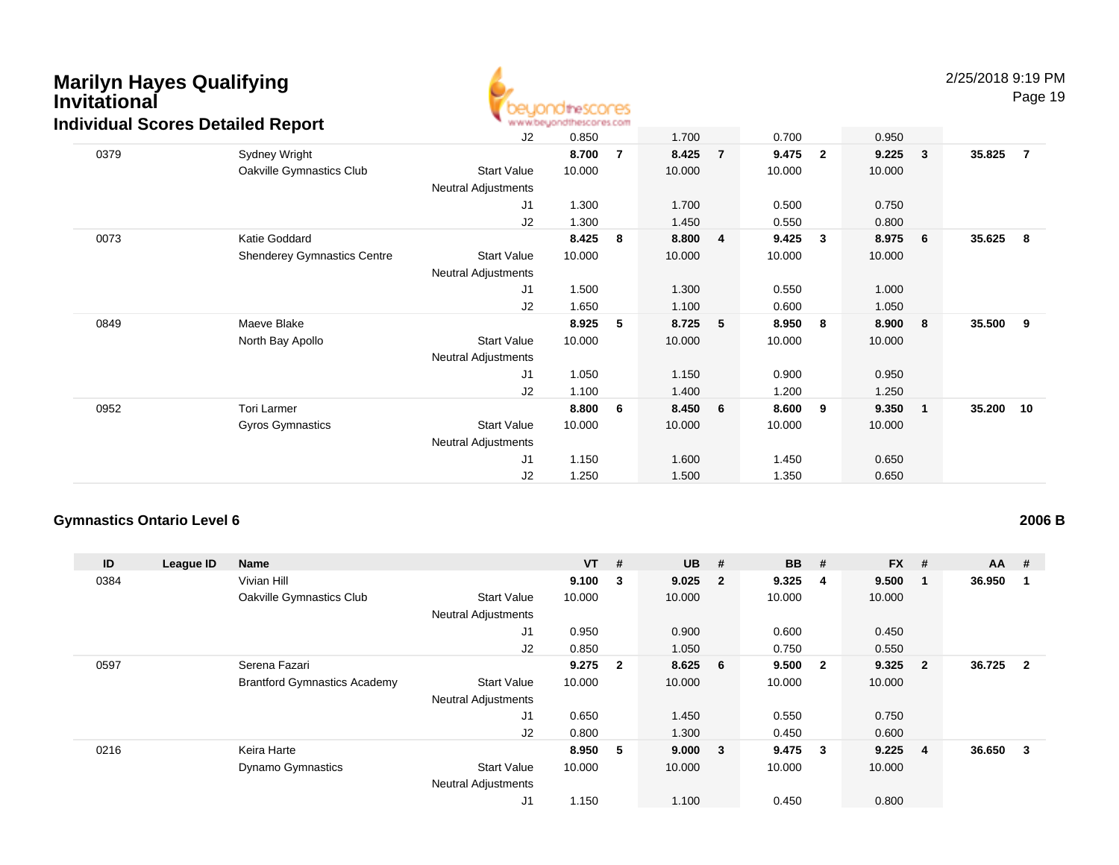

2/25/2018 9:19 PM

Page 19

| <u>idividual Scores Detailed Report</u> |                                    | and and an another particle and an anti-structure on the structure of |        |                |        |                |        |              |        |                         |        |     |
|-----------------------------------------|------------------------------------|-----------------------------------------------------------------------|--------|----------------|--------|----------------|--------|--------------|--------|-------------------------|--------|-----|
|                                         |                                    | J2                                                                    | 0.850  |                | 1.700  |                | 0.700  |              | 0.950  |                         |        |     |
| 0379                                    | Sydney Wright                      |                                                                       | 8.700  | $\overline{7}$ | 8.425  | $\overline{7}$ | 9.475  | $\mathbf{2}$ | 9.225  | $\sqrt{3}$              | 35.825 | - 7 |
|                                         | Oakville Gymnastics Club           | <b>Start Value</b>                                                    | 10.000 |                | 10.000 |                | 10.000 |              | 10.000 |                         |        |     |
|                                         |                                    | <b>Neutral Adjustments</b>                                            |        |                |        |                |        |              |        |                         |        |     |
|                                         |                                    | J1                                                                    | 1.300  |                | 1.700  |                | 0.500  |              | 0.750  |                         |        |     |
|                                         |                                    | J <sub>2</sub>                                                        | 1.300  |                | 1.450  |                | 0.550  |              | 0.800  |                         |        |     |
| 0073                                    | Katie Goddard                      |                                                                       | 8.425  | 8              | 8.800  | 4              | 9.425  | 3            | 8.975  | $6\overline{6}$         | 35.625 | - 8 |
|                                         | <b>Shenderey Gymnastics Centre</b> | Start Value                                                           | 10.000 |                | 10.000 |                | 10.000 |              | 10.000 |                         |        |     |
|                                         |                                    | <b>Neutral Adjustments</b>                                            |        |                |        |                |        |              |        |                         |        |     |
|                                         |                                    | J1                                                                    | 1.500  |                | 1.300  |                | 0.550  |              | 1.000  |                         |        |     |
|                                         |                                    | J2                                                                    | 1.650  |                | 1.100  |                | 0.600  |              | 1.050  |                         |        |     |
| 0849                                    | Maeve Blake                        |                                                                       | 8.925  | 5              | 8.725  | 5              | 8.950  | 8            | 8.900  | 8                       | 35.500 | - 9 |
|                                         | North Bay Apollo                   | <b>Start Value</b>                                                    | 10.000 |                | 10.000 |                | 10.000 |              | 10.000 |                         |        |     |
|                                         |                                    | <b>Neutral Adjustments</b>                                            |        |                |        |                |        |              |        |                         |        |     |
|                                         |                                    | J1                                                                    | 1.050  |                | 1.150  |                | 0.900  |              | 0.950  |                         |        |     |
|                                         |                                    | J2                                                                    | 1.100  |                | 1.400  |                | 1.200  |              | 1.250  |                         |        |     |
| 0952                                    | Tori Larmer                        |                                                                       | 8.800  | 6              | 8.450  | 6              | 8.600  | 9            | 9.350  | $\overline{\mathbf{1}}$ | 35.200 | 10  |
|                                         | Gyros Gymnastics                   | <b>Start Value</b>                                                    | 10.000 |                | 10.000 |                | 10.000 |              | 10.000 |                         |        |     |
|                                         |                                    | <b>Neutral Adjustments</b>                                            |        |                |        |                |        |              |        |                         |        |     |
|                                         |                                    | J1                                                                    | 1.150  |                | 1.600  |                | 1.450  |              | 0.650  |                         |        |     |
|                                         |                                    | J2                                                                    | 1.250  |                | 1.500  |                | 1.350  |              | 0.650  |                         |        |     |

#### **Gymnastics Ontario Level 6**

| ID   | League ID | <b>Name</b>                         |                            | $VT$ # |                | <b>UB</b> | #                       | <b>BB</b> | #                       | <b>FX</b> | #                       | <b>AA</b> | #              |
|------|-----------|-------------------------------------|----------------------------|--------|----------------|-----------|-------------------------|-----------|-------------------------|-----------|-------------------------|-----------|----------------|
| 0384 |           | Vivian Hill                         |                            | 9.100  | 3              | 9.025     | $\overline{\mathbf{2}}$ | 9.325     | -4                      | 9.500     | -1                      | 36.950    |                |
|      |           | Oakville Gymnastics Club            | <b>Start Value</b>         | 10.000 |                | 10.000    |                         | 10.000    |                         | 10.000    |                         |           |                |
|      |           |                                     | <b>Neutral Adjustments</b> |        |                |           |                         |           |                         |           |                         |           |                |
|      |           |                                     | J1                         | 0.950  |                | 0.900     |                         | 0.600     |                         | 0.450     |                         |           |                |
|      |           |                                     | J2                         | 0.850  |                | 1.050     |                         | 0.750     |                         | 0.550     |                         |           |                |
| 0597 |           | Serena Fazari                       |                            | 9.275  | $\overline{2}$ | 8.625 6   |                         | 9.500     | $\overline{\mathbf{2}}$ | 9.325     | $\overline{\mathbf{2}}$ | 36.725    | $\overline{2}$ |
|      |           | <b>Brantford Gymnastics Academy</b> | <b>Start Value</b>         | 10.000 |                | 10.000    |                         | 10.000    |                         | 10.000    |                         |           |                |
|      |           |                                     | <b>Neutral Adjustments</b> |        |                |           |                         |           |                         |           |                         |           |                |
|      |           |                                     | J1                         | 0.650  |                | 1.450     |                         | 0.550     |                         | 0.750     |                         |           |                |
|      |           |                                     | J2                         | 0.800  |                | 1.300     |                         | 0.450     |                         | 0.600     |                         |           |                |
| 0216 |           | Keira Harte                         |                            | 8.950  | -5             | 9.000     | $\overline{\mathbf{3}}$ | $9.475$ 3 |                         | 9.225     | $\overline{\mathbf{4}}$ | 36.650    | 3              |
|      |           | <b>Dynamo Gymnastics</b>            | <b>Start Value</b>         | 10.000 |                | 10.000    |                         | 10.000    |                         | 10.000    |                         |           |                |
|      |           |                                     | <b>Neutral Adjustments</b> |        |                |           |                         |           |                         |           |                         |           |                |
|      |           |                                     | J1                         | 1.150  |                | 1.100     |                         | 0.450     |                         | 0.800     |                         |           |                |